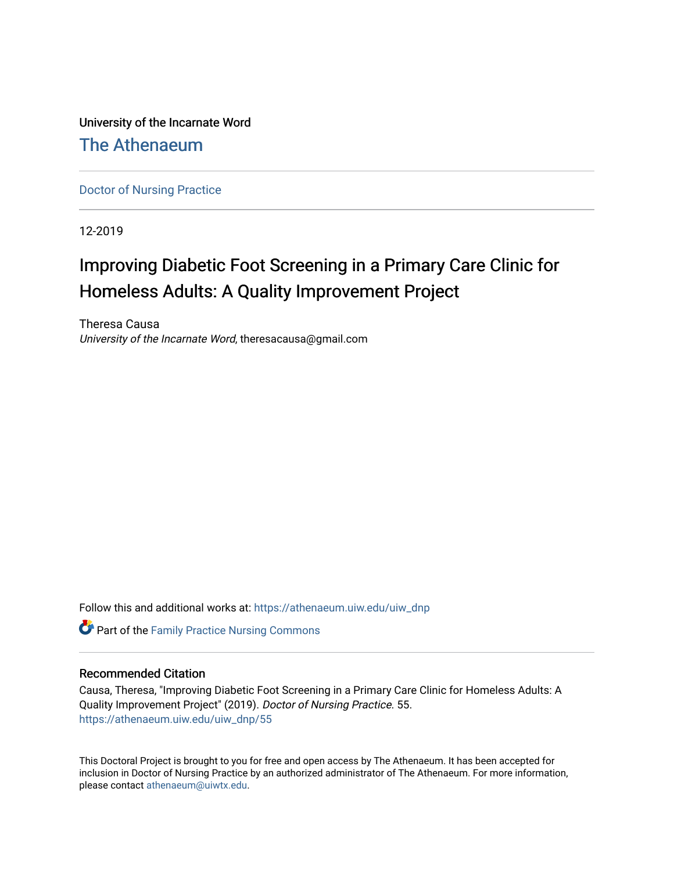University of the Incarnate Word

## [The Athenaeum](https://athenaeum.uiw.edu/)

[Doctor of Nursing Practice](https://athenaeum.uiw.edu/uiw_dnp)

12-2019

# Improving Diabetic Foot Screening in a Primary Care Clinic for Homeless Adults: A Quality Improvement Project

Theresa Causa University of the Incarnate Word, theresacausa@gmail.com

Follow this and additional works at: [https://athenaeum.uiw.edu/uiw\\_dnp](https://athenaeum.uiw.edu/uiw_dnp?utm_source=athenaeum.uiw.edu%2Fuiw_dnp%2F55&utm_medium=PDF&utm_campaign=PDFCoverPages) 

**C** Part of the Family Practice Nursing Commons

#### Recommended Citation

Causa, Theresa, "Improving Diabetic Foot Screening in a Primary Care Clinic for Homeless Adults: A Quality Improvement Project" (2019). Doctor of Nursing Practice. 55. [https://athenaeum.uiw.edu/uiw\\_dnp/55](https://athenaeum.uiw.edu/uiw_dnp/55?utm_source=athenaeum.uiw.edu%2Fuiw_dnp%2F55&utm_medium=PDF&utm_campaign=PDFCoverPages)

This Doctoral Project is brought to you for free and open access by The Athenaeum. It has been accepted for inclusion in Doctor of Nursing Practice by an authorized administrator of The Athenaeum. For more information, please contact [athenaeum@uiwtx.edu.](mailto:athenaeum@uiwtx.edu)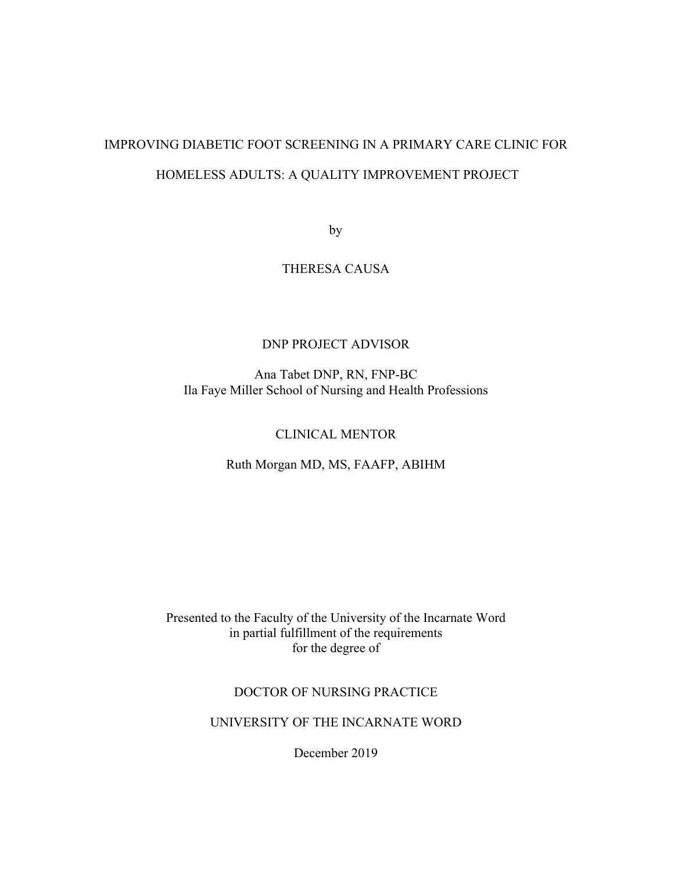# IMPROVING DIABETIC FOOT SCREENING IN A PRIMARY CARE CLINIC FOR HOMELESS ADULTS: A QUALITY IMPROVEMENT PROJECT

by

## THERESA CAUSA

#### DNP PROJECT ADVISOR

Ana Tabet DNP, RN, FNP-BC Ila Faye Miller School of Nursing and Health Professions

#### CLINICAL MENTOR

Ruth Morgan MD, MS, FAAFP, ABIHM

Presented to the Faculty of the University of the Incarnate Word in partial fulfillment of the requirements for the degree of

#### DOCTOR OF NURSING PRACTICE

UNIVERSITY OF THE INCARNATE WORD

December 2019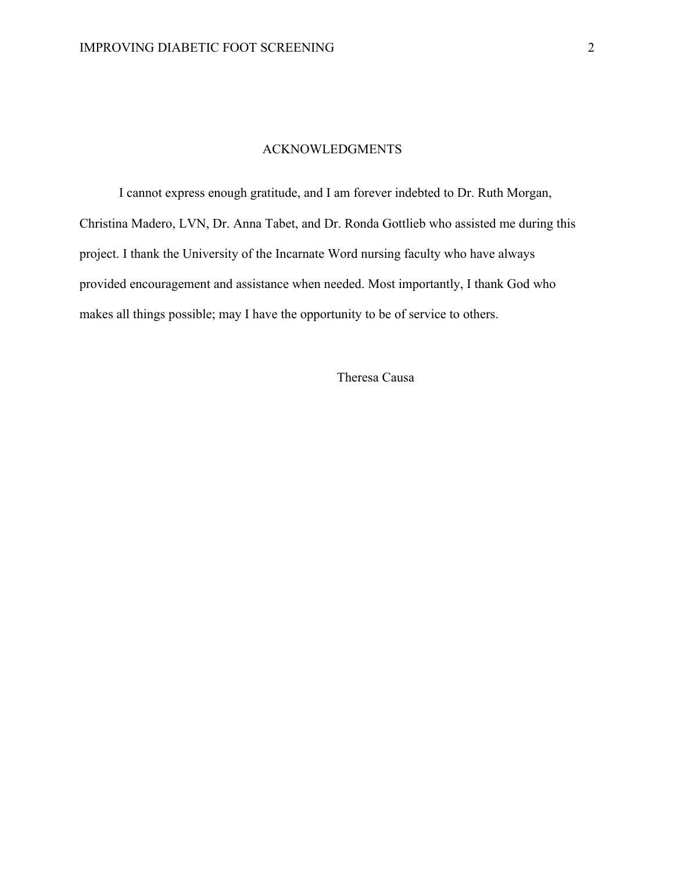#### ACKNOWLEDGMENTS

I cannot express enough gratitude, and I am forever indebted to Dr. Ruth Morgan, Christina Madero, LVN, Dr. Anna Tabet, and Dr. Ronda Gottlieb who assisted me during this project. I thank the University of the Incarnate Word nursing faculty who have always provided encouragement and assistance when needed. Most importantly, I thank God who makes all things possible; may I have the opportunity to be of service to others.

Theresa Causa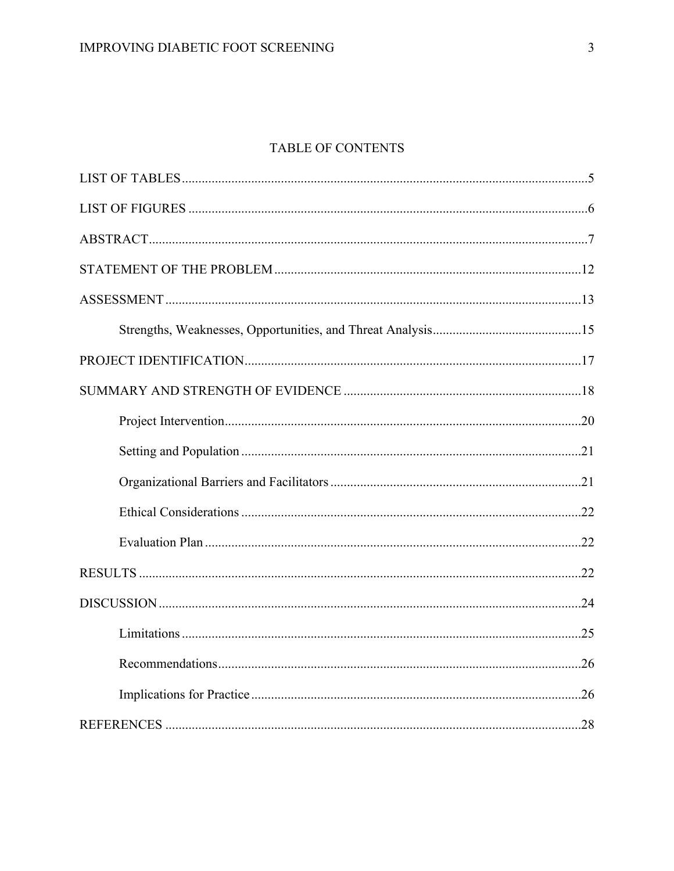## TABLE OF CONTENTS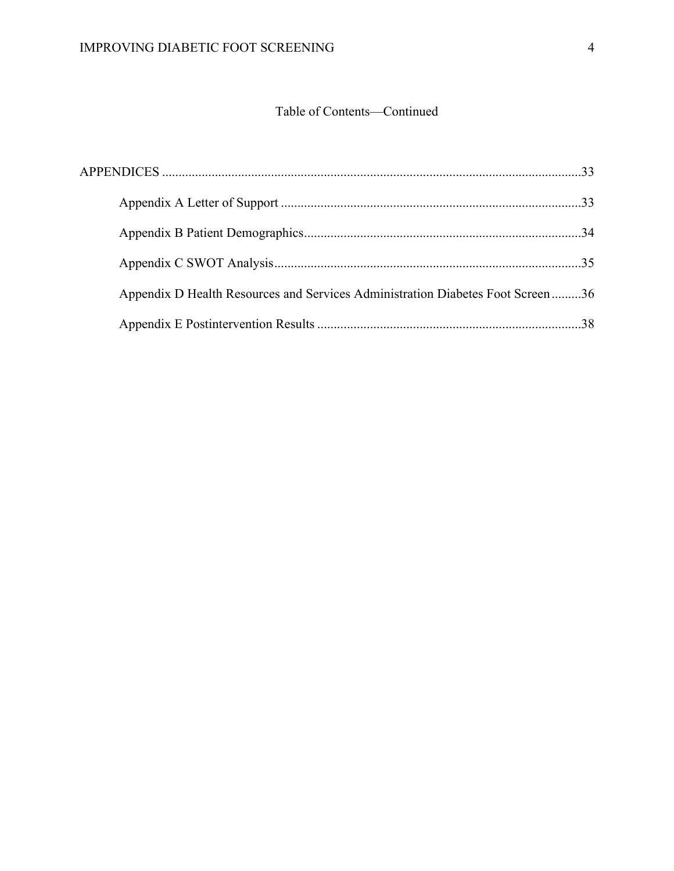## Table of Contents—Continued

| Appendix D Health Resources and Services Administration Diabetes Foot Screen36 |  |
|--------------------------------------------------------------------------------|--|
|                                                                                |  |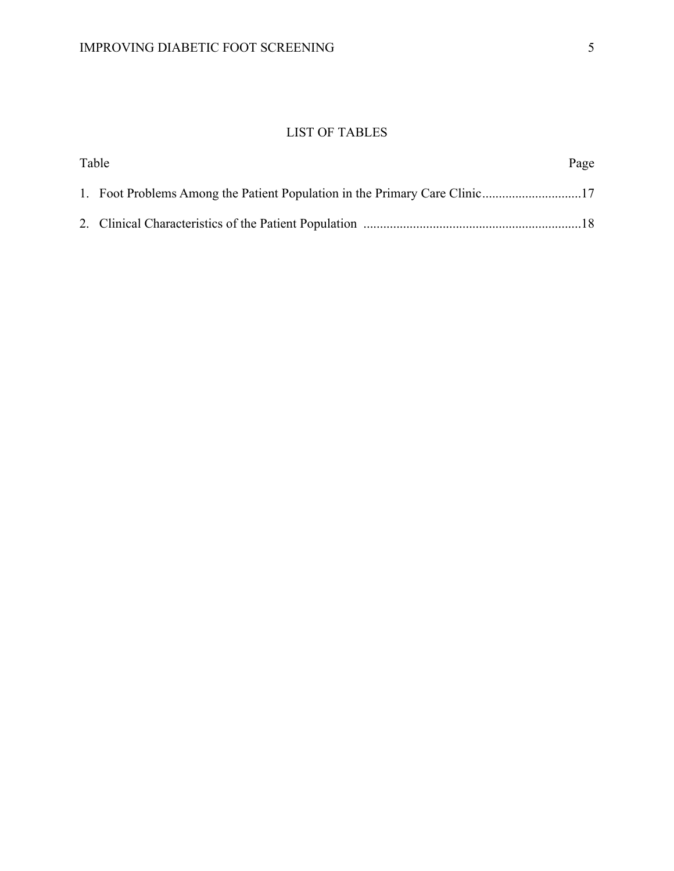## LIST OF TABLES

| Table | Page |
|-------|------|
|       |      |
|       |      |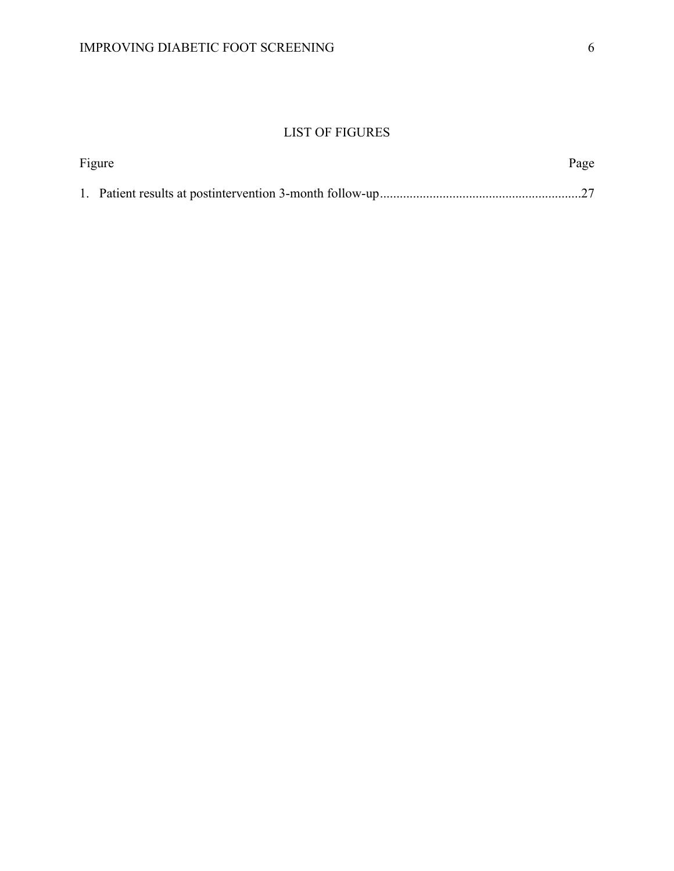## LIST OF FIGURES

| Figure | Page |
|--------|------|
|        |      |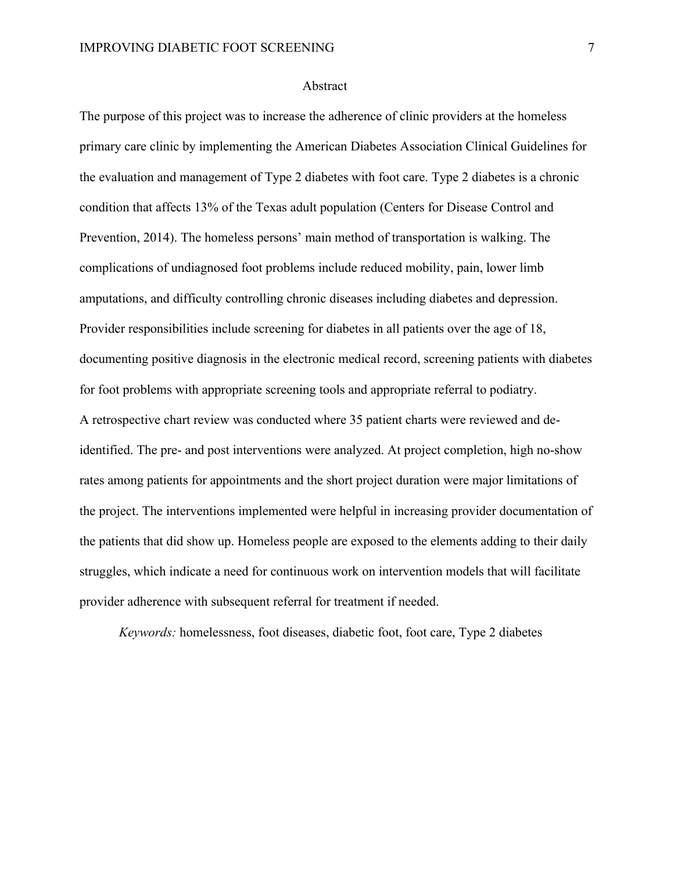#### Abstract

The purpose of this project was to increase the adherence of clinic providers at the homeless primary care clinic by implementing the American Diabetes Association Clinical Guidelines for the evaluation and management of Type 2 diabetes with foot care. Type 2 diabetes is a chronic condition that affects 13% of the Texas adult population (Centers for Disease Control and Prevention, 2014). The homeless persons' main method of transportation is walking. The complications of undiagnosed foot problems include reduced mobility, pain, lower limb amputations, and difficulty controlling chronic diseases including diabetes and depression. Provider responsibilities include screening for diabetes in all patients over the age of 18, documenting positive diagnosis in the electronic medical record, screening patients with diabetes for foot problems with appropriate screening tools and appropriate referral to podiatry. A retrospective chart review was conducted where 35 patient charts were reviewed and deidentified. The pre- and post interventions were analyzed. At project completion, high no-show rates among patients for appointments and the short project duration were major limitations of the project. The interventions implemented were helpful in increasing provider documentation of the patients that did show up. Homeless people are exposed to the elements adding to their daily struggles, which indicate a need for continuous work on intervention models that will facilitate provider adherence with subsequent referral for treatment if needed.

*Keywords:* homelessness, foot diseases, diabetic foot, foot care, Type 2 diabetes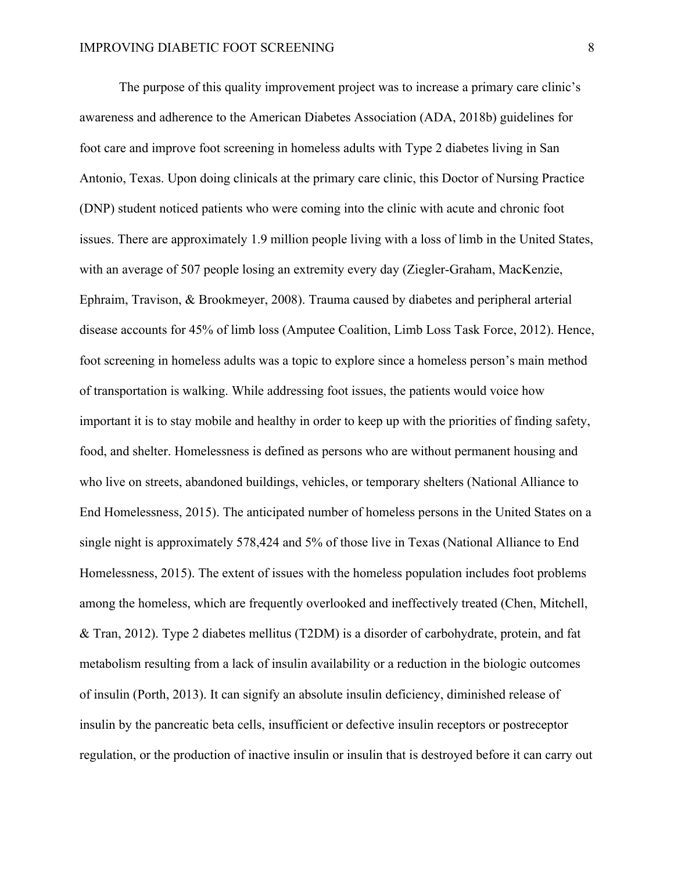The purpose of this quality improvement project was to increase a primary care clinic's awareness and adherence to the American Diabetes Association (ADA, 2018b) guidelines for foot care and improve foot screening in homeless adults with Type 2 diabetes living in San Antonio, Texas. Upon doing clinicals at the primary care clinic, this Doctor of Nursing Practice (DNP) student noticed patients who were coming into the clinic with acute and chronic foot issues. There are approximately 1.9 million people living with a loss of limb in the United States, with an average of 507 people losing an extremity every day (Ziegler-Graham, MacKenzie, Ephraim, Travison, & Brookmeyer, 2008). Trauma caused by diabetes and peripheral arterial disease accounts for 45% of limb loss (Amputee Coalition, Limb Loss Task Force, 2012). Hence, foot screening in homeless adults was a topic to explore since a homeless person's main method of transportation is walking. While addressing foot issues, the patients would voice how important it is to stay mobile and healthy in order to keep up with the priorities of finding safety, food, and shelter. Homelessness is defined as persons who are without permanent housing and who live on streets, abandoned buildings, vehicles, or temporary shelters (National Alliance to End Homelessness, 2015). The anticipated number of homeless persons in the United States on a single night is approximately 578,424 and 5% of those live in Texas (National Alliance to End Homelessness, 2015). The extent of issues with the homeless population includes foot problems among the homeless, which are frequently overlooked and ineffectively treated (Chen, Mitchell, & Tran, 2012). Type 2 diabetes mellitus (T2DM) is a disorder of carbohydrate, protein, and fat metabolism resulting from a lack of insulin availability or a reduction in the biologic outcomes of insulin (Porth, 2013). It can signify an absolute insulin deficiency, diminished release of insulin by the pancreatic beta cells, insufficient or defective insulin receptors or postreceptor regulation, or the production of inactive insulin or insulin that is destroyed before it can carry out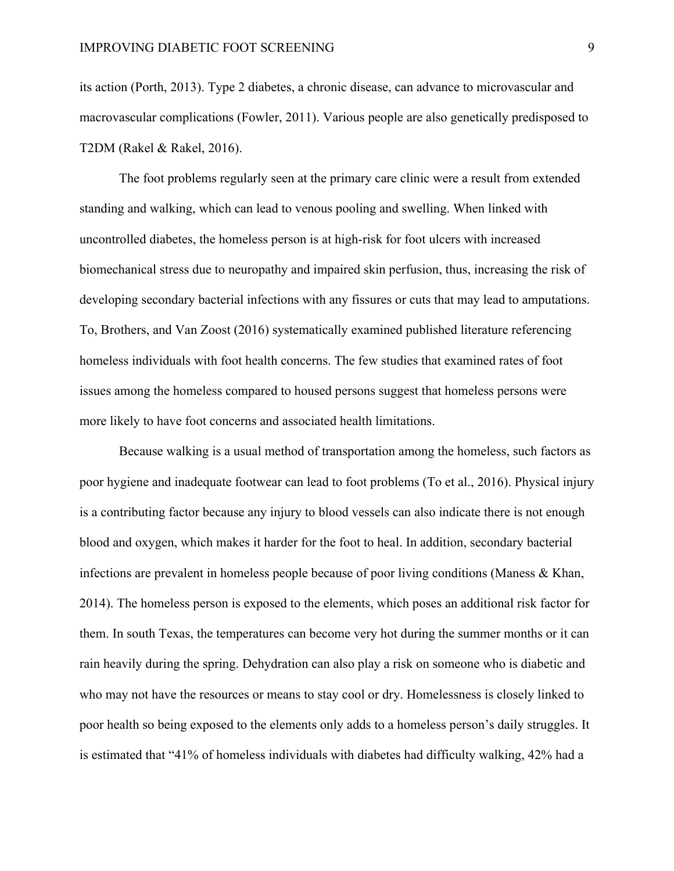its action (Porth, 2013). Type 2 diabetes, a chronic disease, can advance to microvascular and macrovascular complications (Fowler, 2011). Various people are also genetically predisposed to T2DM (Rakel & Rakel, 2016).

The foot problems regularly seen at the primary care clinic were a result from extended standing and walking, which can lead to venous pooling and swelling. When linked with uncontrolled diabetes, the homeless person is at high-risk for foot ulcers with increased biomechanical stress due to neuropathy and impaired skin perfusion, thus, increasing the risk of developing secondary bacterial infections with any fissures or cuts that may lead to amputations. To, Brothers, and Van Zoost (2016) systematically examined published literature referencing homeless individuals with foot health concerns. The few studies that examined rates of foot issues among the homeless compared to housed persons suggest that homeless persons were more likely to have foot concerns and associated health limitations.

Because walking is a usual method of transportation among the homeless, such factors as poor hygiene and inadequate footwear can lead to foot problems (To et al., 2016). Physical injury is a contributing factor because any injury to blood vessels can also indicate there is not enough blood and oxygen, which makes it harder for the foot to heal. In addition, secondary bacterial infections are prevalent in homeless people because of poor living conditions (Maness & Khan, 2014). The homeless person is exposed to the elements, which poses an additional risk factor for them. In south Texas, the temperatures can become very hot during the summer months or it can rain heavily during the spring. Dehydration can also play a risk on someone who is diabetic and who may not have the resources or means to stay cool or dry. Homelessness is closely linked to poor health so being exposed to the elements only adds to a homeless person's daily struggles. It is estimated that "41% of homeless individuals with diabetes had difficulty walking, 42% had a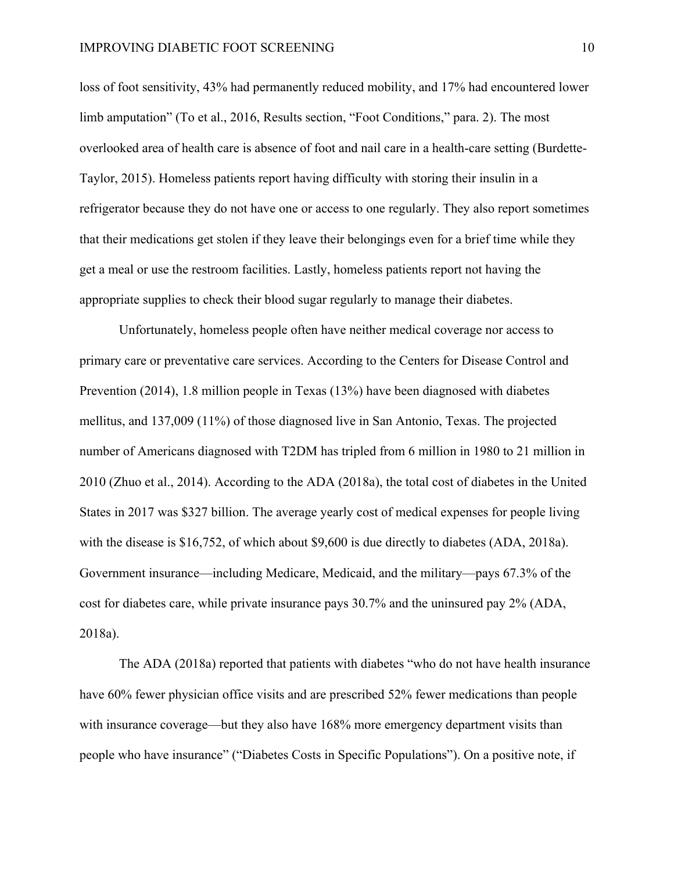loss of foot sensitivity, 43% had permanently reduced mobility, and 17% had encountered lower limb amputation" (To et al., 2016, Results section, "Foot Conditions," para. 2). The most overlooked area of health care is absence of foot and nail care in a health-care setting (Burdette-Taylor, 2015). Homeless patients report having difficulty with storing their insulin in a refrigerator because they do not have one or access to one regularly. They also report sometimes that their medications get stolen if they leave their belongings even for a brief time while they get a meal or use the restroom facilities. Lastly, homeless patients report not having the appropriate supplies to check their blood sugar regularly to manage their diabetes.

Unfortunately, homeless people often have neither medical coverage nor access to primary care or preventative care services. According to the Centers for Disease Control and Prevention (2014), 1.8 million people in Texas (13%) have been diagnosed with diabetes mellitus, and 137,009 (11%) of those diagnosed live in San Antonio, Texas. The projected number of Americans diagnosed with T2DM has tripled from 6 million in 1980 to 21 million in 2010 (Zhuo et al., 2014). According to the ADA (2018a), the total cost of diabetes in the United States in 2017 was \$327 billion. The average yearly cost of medical expenses for people living with the disease is \$16,752, of which about \$9,600 is due directly to diabetes (ADA, 2018a). Government insurance—including Medicare, Medicaid, and the military—pays 67.3% of the cost for diabetes care, while private insurance pays 30.7% and the uninsured pay 2% (ADA, 2018a).

The ADA (2018a) reported that patients with diabetes "who do not have health insurance have 60% fewer physician office visits and are prescribed 52% fewer medications than people with insurance coverage—but they also have 168% more emergency department visits than people who have insurance" ("Diabetes Costs in Specific Populations"). On a positive note, if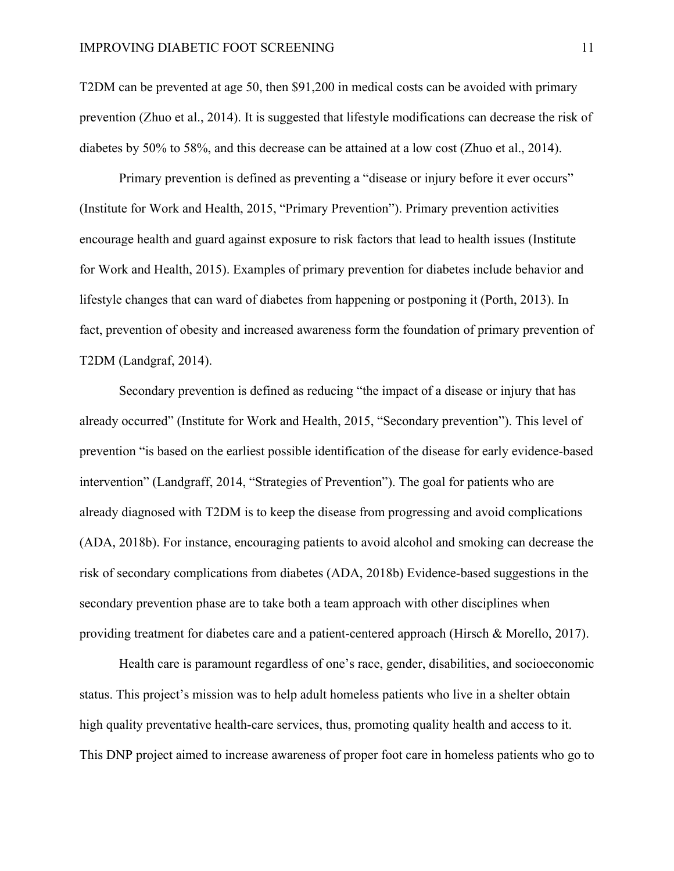T2DM can be prevented at age 50, then \$91,200 in medical costs can be avoided with primary prevention (Zhuo et al., 2014). It is suggested that lifestyle modifications can decrease the risk of diabetes by 50% to 58%, and this decrease can be attained at a low cost (Zhuo et al., 2014).

Primary prevention is defined as preventing a "disease or injury before it ever occurs" (Institute for Work and Health, 2015, "Primary Prevention"). Primary prevention activities encourage health and guard against exposure to risk factors that lead to health issues (Institute for Work and Health, 2015). Examples of primary prevention for diabetes include behavior and lifestyle changes that can ward of diabetes from happening or postponing it (Porth, 2013). In fact, prevention of obesity and increased awareness form the foundation of primary prevention of T2DM (Landgraf, 2014).

Secondary prevention is defined as reducing "the impact of a disease or injury that has already occurred" (Institute for Work and Health, 2015, "Secondary prevention"). This level of prevention "is based on the earliest possible identification of the disease for early evidence-based intervention" (Landgraff, 2014, "Strategies of Prevention"). The goal for patients who are already diagnosed with T2DM is to keep the disease from progressing and avoid complications (ADA, 2018b). For instance, encouraging patients to avoid alcohol and smoking can decrease the risk of secondary complications from diabetes (ADA, 2018b) Evidence-based suggestions in the secondary prevention phase are to take both a team approach with other disciplines when providing treatment for diabetes care and a patient-centered approach (Hirsch & Morello, 2017).

Health care is paramount regardless of one's race, gender, disabilities, and socioeconomic status. This project's mission was to help adult homeless patients who live in a shelter obtain high quality preventative health-care services, thus, promoting quality health and access to it. This DNP project aimed to increase awareness of proper foot care in homeless patients who go to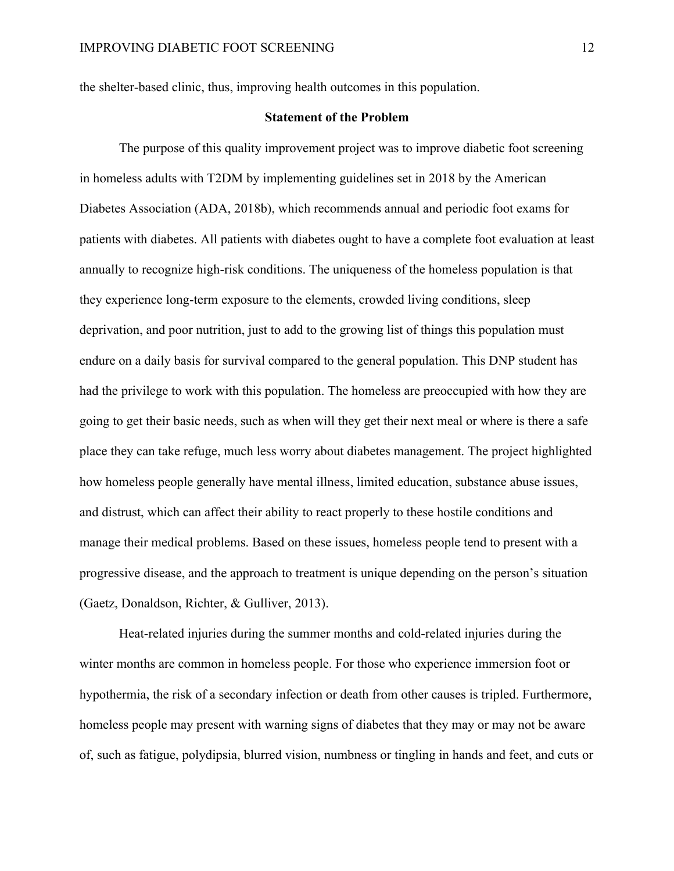the shelter-based clinic, thus, improving health outcomes in this population.

#### **Statement of the Problem**

The purpose of this quality improvement project was to improve diabetic foot screening in homeless adults with T2DM by implementing guidelines set in 2018 by the American Diabetes Association (ADA, 2018b), which recommends annual and periodic foot exams for patients with diabetes. All patients with diabetes ought to have a complete foot evaluation at least annually to recognize high-risk conditions. The uniqueness of the homeless population is that they experience long-term exposure to the elements, crowded living conditions, sleep deprivation, and poor nutrition, just to add to the growing list of things this population must endure on a daily basis for survival compared to the general population. This DNP student has had the privilege to work with this population. The homeless are preoccupied with how they are going to get their basic needs, such as when will they get their next meal or where is there a safe place they can take refuge, much less worry about diabetes management. The project highlighted how homeless people generally have mental illness, limited education, substance abuse issues, and distrust, which can affect their ability to react properly to these hostile conditions and manage their medical problems. Based on these issues, homeless people tend to present with a progressive disease, and the approach to treatment is unique depending on the person's situation (Gaetz, Donaldson, Richter, & Gulliver, 2013).

Heat-related injuries during the summer months and cold-related injuries during the winter months are common in homeless people. For those who experience immersion foot or hypothermia, the risk of a secondary infection or death from other causes is tripled. Furthermore, homeless people may present with warning signs of diabetes that they may or may not be aware of, such as fatigue, polydipsia, blurred vision, numbness or tingling in hands and feet, and cuts or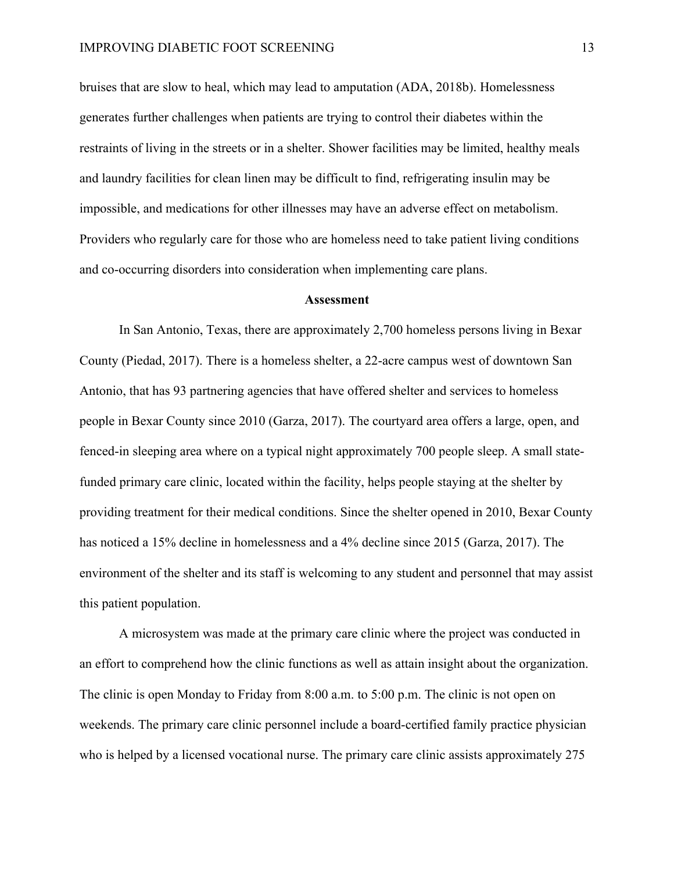bruises that are slow to heal, which may lead to amputation (ADA, 2018b). Homelessness generates further challenges when patients are trying to control their diabetes within the restraints of living in the streets or in a shelter. Shower facilities may be limited, healthy meals and laundry facilities for clean linen may be difficult to find, refrigerating insulin may be impossible, and medications for other illnesses may have an adverse effect on metabolism. Providers who regularly care for those who are homeless need to take patient living conditions and co-occurring disorders into consideration when implementing care plans.

#### **Assessment**

In San Antonio, Texas, there are approximately 2,700 homeless persons living in Bexar County (Piedad, 2017). There is a homeless shelter, a 22-acre campus west of downtown San Antonio, that has 93 partnering agencies that have offered shelter and services to homeless people in Bexar County since 2010 (Garza, 2017). The courtyard area offers a large, open, and fenced-in sleeping area where on a typical night approximately 700 people sleep. A small statefunded primary care clinic, located within the facility, helps people staying at the shelter by providing treatment for their medical conditions. Since the shelter opened in 2010, Bexar County has noticed a 15% decline in homelessness and a 4% decline since 2015 (Garza, 2017). The environment of the shelter and its staff is welcoming to any student and personnel that may assist this patient population.

A microsystem was made at the primary care clinic where the project was conducted in an effort to comprehend how the clinic functions as well as attain insight about the organization. The clinic is open Monday to Friday from 8:00 a.m. to 5:00 p.m. The clinic is not open on weekends. The primary care clinic personnel include a board-certified family practice physician who is helped by a licensed vocational nurse. The primary care clinic assists approximately 275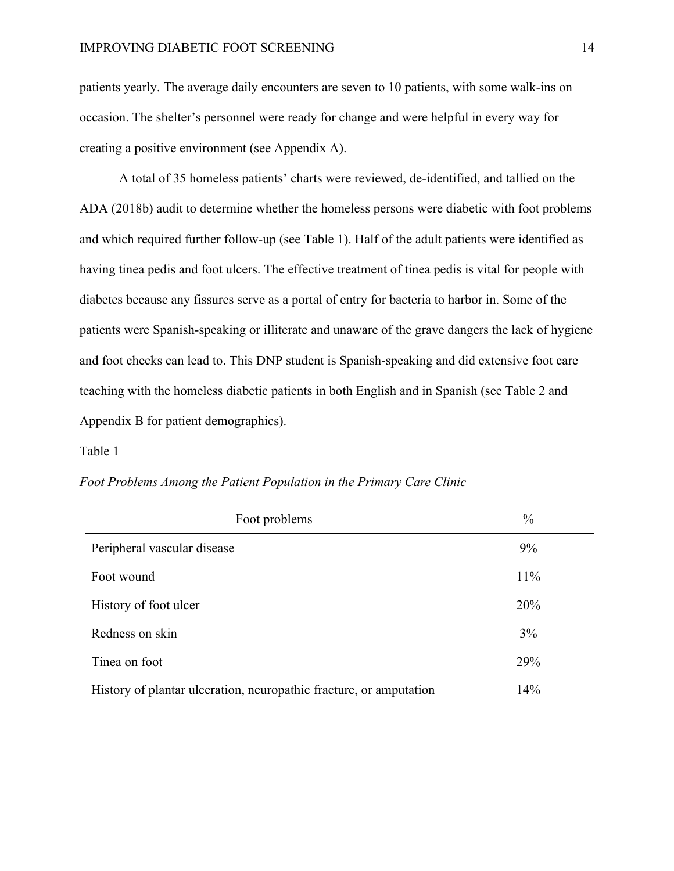patients yearly. The average daily encounters are seven to 10 patients, with some walk-ins on occasion. The shelter's personnel were ready for change and were helpful in every way for creating a positive environment (see Appendix A).

A total of 35 homeless patients' charts were reviewed, de-identified, and tallied on the ADA (2018b) audit to determine whether the homeless persons were diabetic with foot problems and which required further follow-up (see Table 1). Half of the adult patients were identified as having tinea pedis and foot ulcers. The effective treatment of tinea pedis is vital for people with diabetes because any fissures serve as a portal of entry for bacteria to harbor in. Some of the patients were Spanish-speaking or illiterate and unaware of the grave dangers the lack of hygiene and foot checks can lead to. This DNP student is Spanish-speaking and did extensive foot care teaching with the homeless diabetic patients in both English and in Spanish (see Table 2 and Appendix B for patient demographics).

#### Table 1

|  |  |  | Foot Problems Among the Patient Population in the Primary Care Clinic |  |
|--|--|--|-----------------------------------------------------------------------|--|
|  |  |  |                                                                       |  |

| Foot problems                                                      | $\frac{0}{0}$ |
|--------------------------------------------------------------------|---------------|
| Peripheral vascular disease                                        | 9%            |
| Foot wound                                                         | 11%           |
| History of foot ulcer                                              | 20%           |
| Redness on skin                                                    | 3%            |
| Tinea on foot                                                      | 29%           |
| History of plantar ulceration, neuropathic fracture, or amputation | 14%           |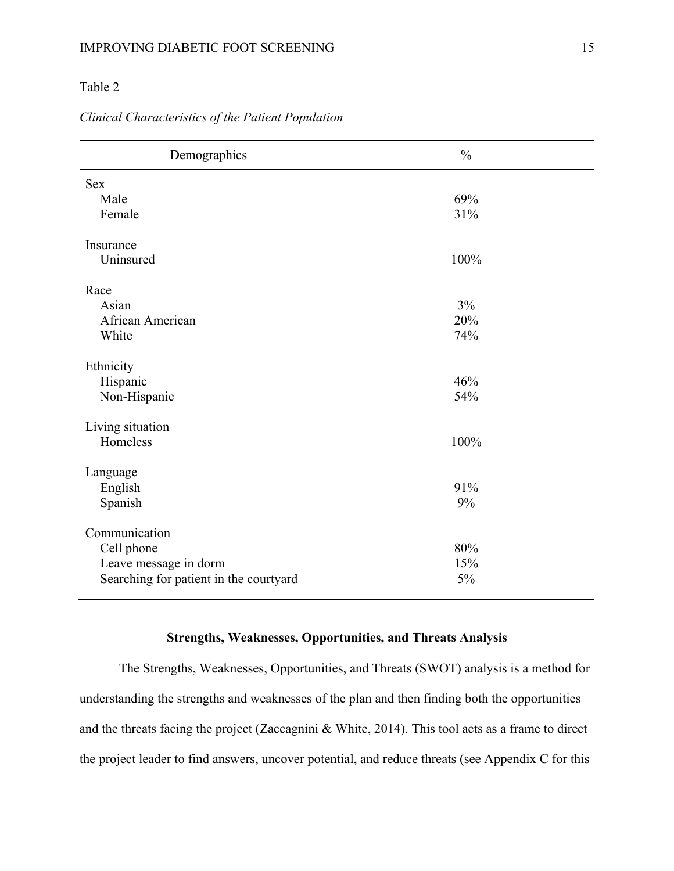### Table 2

#### *Clinical Characteristics of the Patient Population*

| Demographics                           | $\frac{0}{0}$ |
|----------------------------------------|---------------|
| <b>Sex</b>                             |               |
| Male                                   | 69%           |
| Female                                 | 31%           |
| Insurance                              |               |
| Uninsured                              | 100%          |
| Race                                   |               |
| Asian                                  | 3%            |
| African American                       | 20%           |
| White                                  | 74%           |
| Ethnicity                              |               |
| Hispanic                               | 46%           |
| Non-Hispanic                           | 54%           |
| Living situation                       |               |
| Homeless                               | 100%          |
| Language                               |               |
| English                                | 91%           |
| Spanish                                | 9%            |
| Communication                          |               |
| Cell phone                             | 80%           |
| Leave message in dorm                  | 15%           |
| Searching for patient in the courtyard | 5%            |

## **Strengths, Weaknesses, Opportunities, and Threats Analysis**

The Strengths, Weaknesses, Opportunities, and Threats (SWOT) analysis is a method for understanding the strengths and weaknesses of the plan and then finding both the opportunities and the threats facing the project (Zaccagnini & White, 2014). This tool acts as a frame to direct the project leader to find answers, uncover potential, and reduce threats (see Appendix C for this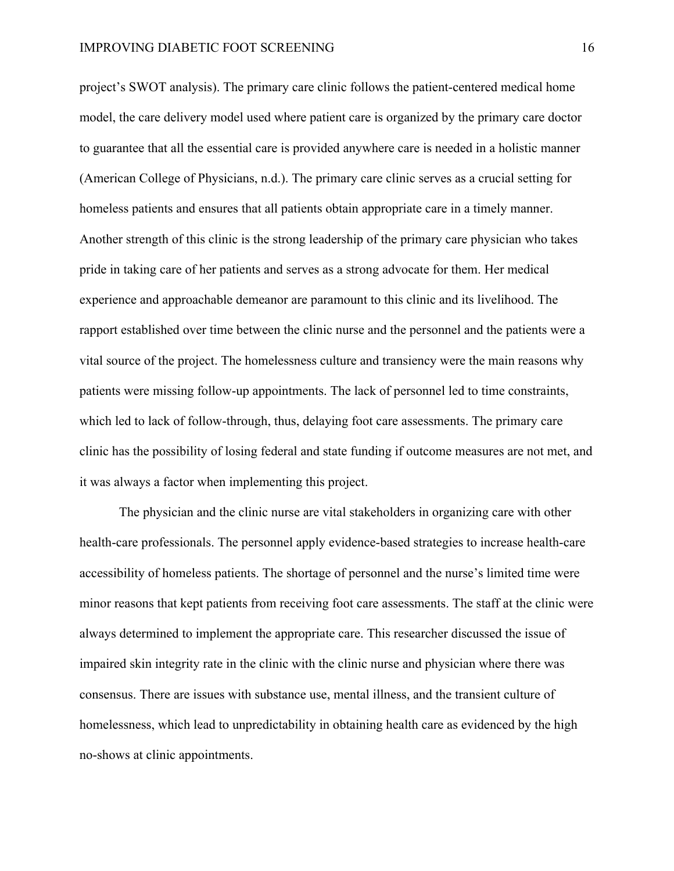project's SWOT analysis). The primary care clinic follows the patient-centered medical home model, the care delivery model used where patient care is organized by the primary care doctor to guarantee that all the essential care is provided anywhere care is needed in a holistic manner (American College of Physicians, n.d.). The primary care clinic serves as a crucial setting for homeless patients and ensures that all patients obtain appropriate care in a timely manner. Another strength of this clinic is the strong leadership of the primary care physician who takes pride in taking care of her patients and serves as a strong advocate for them. Her medical experience and approachable demeanor are paramount to this clinic and its livelihood. The rapport established over time between the clinic nurse and the personnel and the patients were a vital source of the project. The homelessness culture and transiency were the main reasons why patients were missing follow-up appointments. The lack of personnel led to time constraints, which led to lack of follow-through, thus, delaying foot care assessments. The primary care clinic has the possibility of losing federal and state funding if outcome measures are not met, and it was always a factor when implementing this project.

The physician and the clinic nurse are vital stakeholders in organizing care with other health-care professionals. The personnel apply evidence-based strategies to increase health-care accessibility of homeless patients. The shortage of personnel and the nurse's limited time were minor reasons that kept patients from receiving foot care assessments. The staff at the clinic were always determined to implement the appropriate care. This researcher discussed the issue of impaired skin integrity rate in the clinic with the clinic nurse and physician where there was consensus. There are issues with substance use, mental illness, and the transient culture of homelessness, which lead to unpredictability in obtaining health care as evidenced by the high no-shows at clinic appointments.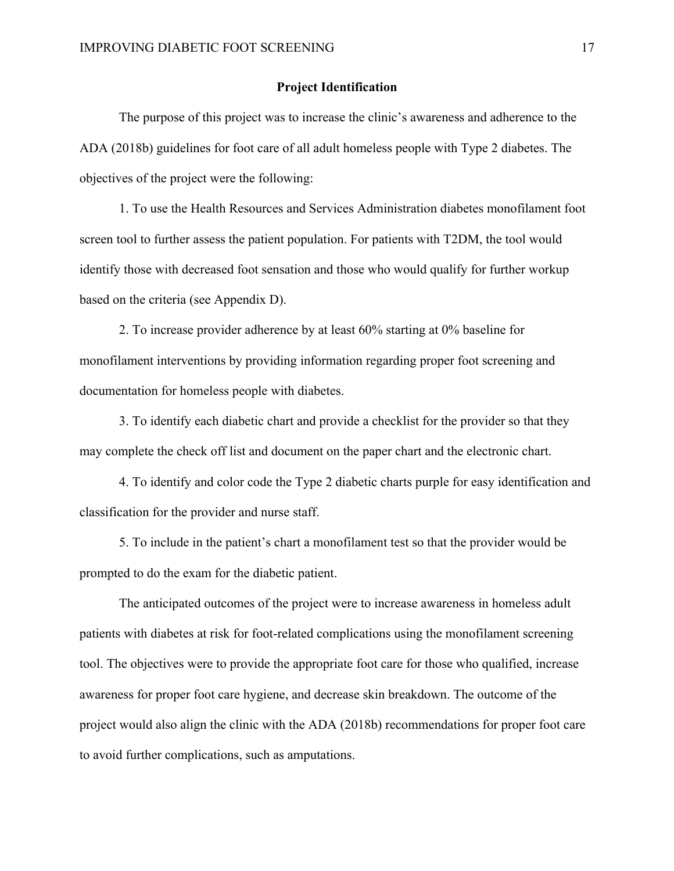#### **Project Identification**

The purpose of this project was to increase the clinic's awareness and adherence to the ADA (2018b) guidelines for foot care of all adult homeless people with Type 2 diabetes. The objectives of the project were the following:

1. To use the Health Resources and Services Administration diabetes monofilament foot screen tool to further assess the patient population. For patients with T2DM, the tool would identify those with decreased foot sensation and those who would qualify for further workup based on the criteria (see Appendix D).

2. To increase provider adherence by at least 60% starting at 0% baseline for monofilament interventions by providing information regarding proper foot screening and documentation for homeless people with diabetes.

3. To identify each diabetic chart and provide a checklist for the provider so that they may complete the check off list and document on the paper chart and the electronic chart.

4. To identify and color code the Type 2 diabetic charts purple for easy identification and classification for the provider and nurse staff.

5. To include in the patient's chart a monofilament test so that the provider would be prompted to do the exam for the diabetic patient.

The anticipated outcomes of the project were to increase awareness in homeless adult patients with diabetes at risk for foot-related complications using the monofilament screening tool. The objectives were to provide the appropriate foot care for those who qualified, increase awareness for proper foot care hygiene, and decrease skin breakdown. The outcome of the project would also align the clinic with the ADA (2018b) recommendations for proper foot care to avoid further complications, such as amputations.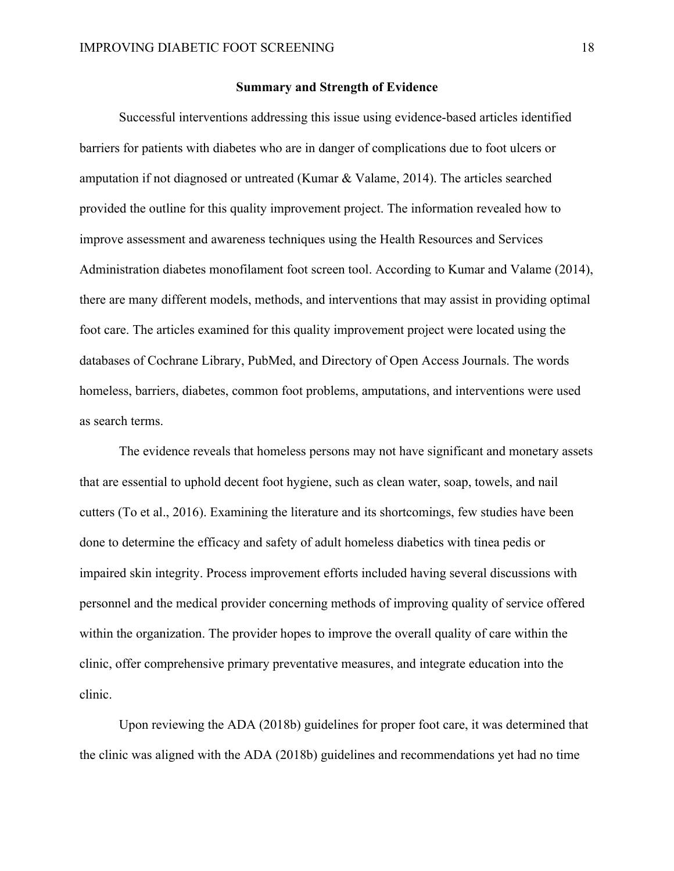#### **Summary and Strength of Evidence**

Successful interventions addressing this issue using evidence-based articles identified barriers for patients with diabetes who are in danger of complications due to foot ulcers or amputation if not diagnosed or untreated (Kumar & Valame, 2014). The articles searched provided the outline for this quality improvement project. The information revealed how to improve assessment and awareness techniques using the Health Resources and Services Administration diabetes monofilament foot screen tool. According to Kumar and Valame (2014), there are many different models, methods, and interventions that may assist in providing optimal foot care. The articles examined for this quality improvement project were located using the databases of Cochrane Library, PubMed, and Directory of Open Access Journals. The words homeless, barriers, diabetes, common foot problems, amputations, and interventions were used as search terms.

The evidence reveals that homeless persons may not have significant and monetary assets that are essential to uphold decent foot hygiene, such as clean water, soap, towels, and nail cutters (To et al., 2016). Examining the literature and its shortcomings, few studies have been done to determine the efficacy and safety of adult homeless diabetics with tinea pedis or impaired skin integrity. Process improvement efforts included having several discussions with personnel and the medical provider concerning methods of improving quality of service offered within the organization. The provider hopes to improve the overall quality of care within the clinic, offer comprehensive primary preventative measures, and integrate education into the clinic.

Upon reviewing the ADA (2018b) guidelines for proper foot care, it was determined that the clinic was aligned with the ADA (2018b) guidelines and recommendations yet had no time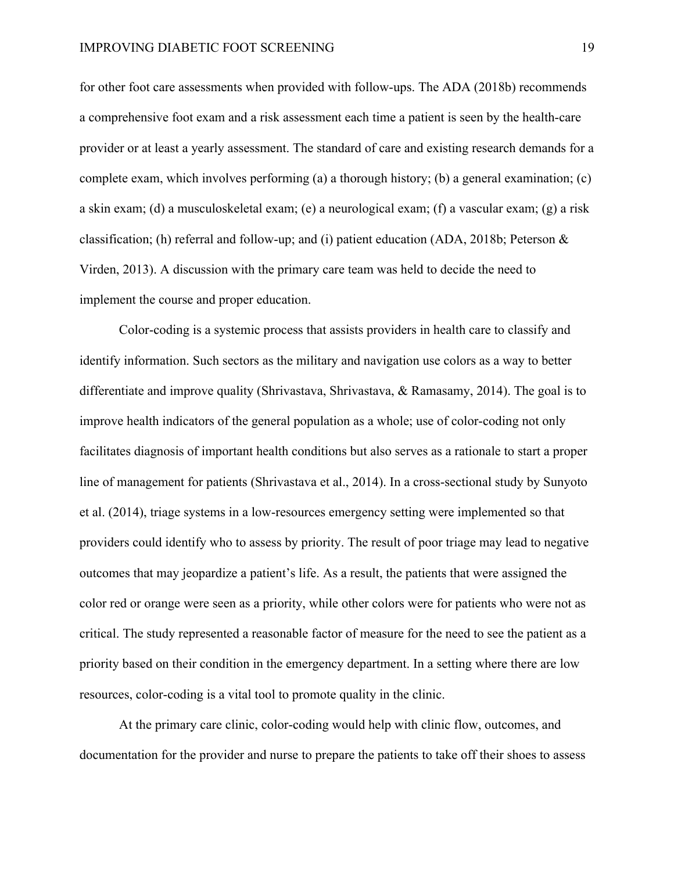for other foot care assessments when provided with follow-ups. The ADA (2018b) recommends a comprehensive foot exam and a risk assessment each time a patient is seen by the health-care provider or at least a yearly assessment. The standard of care and existing research demands for a complete exam, which involves performing (a) a thorough history; (b) a general examination; (c) a skin exam; (d) a musculoskeletal exam; (e) a neurological exam; (f) a vascular exam; (g) a risk classification; (h) referral and follow-up; and (i) patient education (ADA, 2018b; Peterson  $\&$ Virden, 2013). A discussion with the primary care team was held to decide the need to implement the course and proper education.

Color-coding is a systemic process that assists providers in health care to classify and identify information. Such sectors as the military and navigation use colors as a way to better differentiate and improve quality (Shrivastava, Shrivastava, & Ramasamy, 2014). The goal is to improve health indicators of the general population as a whole; use of color-coding not only facilitates diagnosis of important health conditions but also serves as a rationale to start a proper line of management for patients (Shrivastava et al., 2014). In a cross-sectional study by Sunyoto et al. (2014), triage systems in a low-resources emergency setting were implemented so that providers could identify who to assess by priority. The result of poor triage may lead to negative outcomes that may jeopardize a patient's life. As a result, the patients that were assigned the color red or orange were seen as a priority, while other colors were for patients who were not as critical. The study represented a reasonable factor of measure for the need to see the patient as a priority based on their condition in the emergency department. In a setting where there are low resources, color-coding is a vital tool to promote quality in the clinic.

At the primary care clinic, color-coding would help with clinic flow, outcomes, and documentation for the provider and nurse to prepare the patients to take off their shoes to assess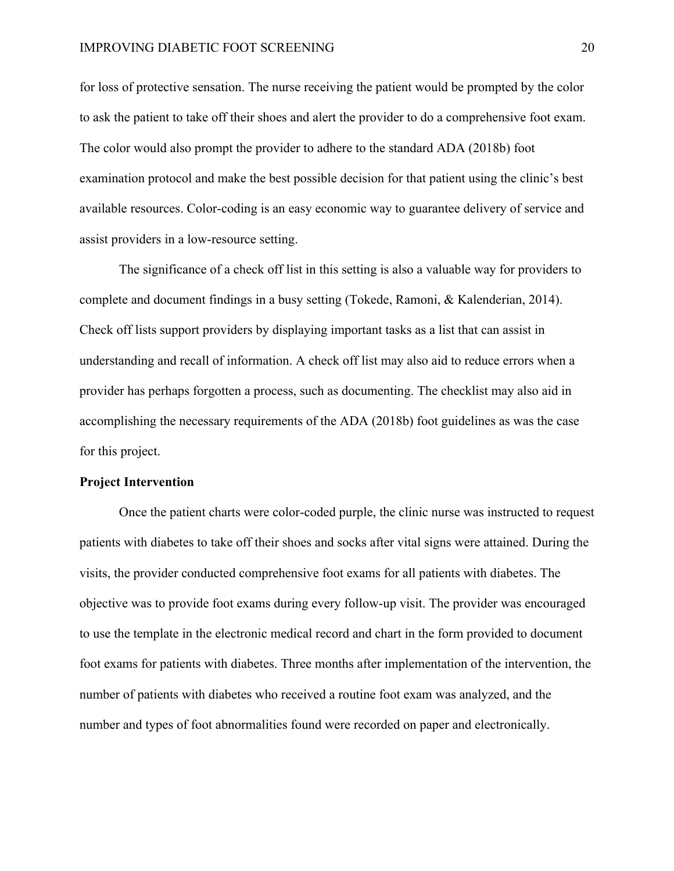for loss of protective sensation. The nurse receiving the patient would be prompted by the color to ask the patient to take off their shoes and alert the provider to do a comprehensive foot exam. The color would also prompt the provider to adhere to the standard ADA (2018b) foot examination protocol and make the best possible decision for that patient using the clinic's best available resources. Color-coding is an easy economic way to guarantee delivery of service and assist providers in a low-resource setting.

The significance of a check off list in this setting is also a valuable way for providers to complete and document findings in a busy setting (Tokede, Ramoni, & Kalenderian, 2014). Check off lists support providers by displaying important tasks as a list that can assist in understanding and recall of information. A check off list may also aid to reduce errors when a provider has perhaps forgotten a process, such as documenting. The checklist may also aid in accomplishing the necessary requirements of the ADA (2018b) foot guidelines as was the case for this project.

#### **Project Intervention**

Once the patient charts were color-coded purple, the clinic nurse was instructed to request patients with diabetes to take off their shoes and socks after vital signs were attained. During the visits, the provider conducted comprehensive foot exams for all patients with diabetes. The objective was to provide foot exams during every follow-up visit. The provider was encouraged to use the template in the electronic medical record and chart in the form provided to document foot exams for patients with diabetes. Three months after implementation of the intervention, the number of patients with diabetes who received a routine foot exam was analyzed, and the number and types of foot abnormalities found were recorded on paper and electronically.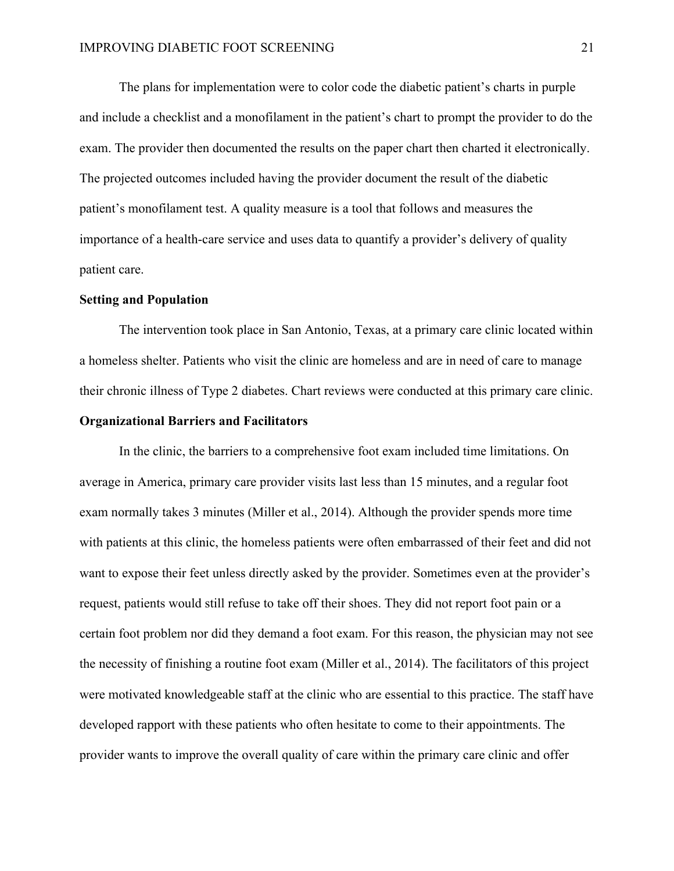The plans for implementation were to color code the diabetic patient's charts in purple and include a checklist and a monofilament in the patient's chart to prompt the provider to do the exam. The provider then documented the results on the paper chart then charted it electronically. The projected outcomes included having the provider document the result of the diabetic patient's monofilament test. A quality measure is a tool that follows and measures the importance of a health-care service and uses data to quantify a provider's delivery of quality patient care.

#### **Setting and Population**

The intervention took place in San Antonio, Texas, at a primary care clinic located within a homeless shelter. Patients who visit the clinic are homeless and are in need of care to manage their chronic illness of Type 2 diabetes. Chart reviews were conducted at this primary care clinic.

#### **Organizational Barriers and Facilitators**

In the clinic, the barriers to a comprehensive foot exam included time limitations. On average in America, primary care provider visits last less than 15 minutes, and a regular foot exam normally takes 3 minutes (Miller et al., 2014). Although the provider spends more time with patients at this clinic, the homeless patients were often embarrassed of their feet and did not want to expose their feet unless directly asked by the provider. Sometimes even at the provider's request, patients would still refuse to take off their shoes. They did not report foot pain or a certain foot problem nor did they demand a foot exam. For this reason, the physician may not see the necessity of finishing a routine foot exam (Miller et al., 2014). The facilitators of this project were motivated knowledgeable staff at the clinic who are essential to this practice. The staff have developed rapport with these patients who often hesitate to come to their appointments. The provider wants to improve the overall quality of care within the primary care clinic and offer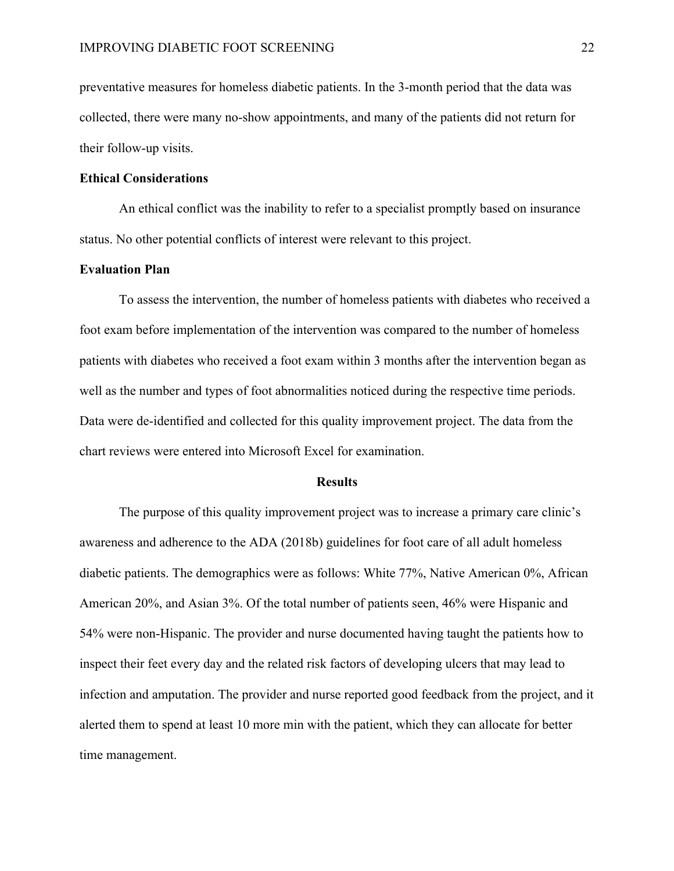preventative measures for homeless diabetic patients. In the 3-month period that the data was collected, there were many no-show appointments, and many of the patients did not return for their follow-up visits.

#### **Ethical Considerations**

An ethical conflict was the inability to refer to a specialist promptly based on insurance status. No other potential conflicts of interest were relevant to this project.

#### **Evaluation Plan**

To assess the intervention, the number of homeless patients with diabetes who received a foot exam before implementation of the intervention was compared to the number of homeless patients with diabetes who received a foot exam within 3 months after the intervention began as well as the number and types of foot abnormalities noticed during the respective time periods. Data were de-identified and collected for this quality improvement project. The data from the chart reviews were entered into Microsoft Excel for examination.

#### **Results**

The purpose of this quality improvement project was to increase a primary care clinic's awareness and adherence to the ADA (2018b) guidelines for foot care of all adult homeless diabetic patients. The demographics were as follows: White 77%, Native American 0%, African American 20%, and Asian 3%. Of the total number of patients seen, 46% were Hispanic and 54% were non-Hispanic. The provider and nurse documented having taught the patients how to inspect their feet every day and the related risk factors of developing ulcers that may lead to infection and amputation. The provider and nurse reported good feedback from the project, and it alerted them to spend at least 10 more min with the patient, which they can allocate for better time management.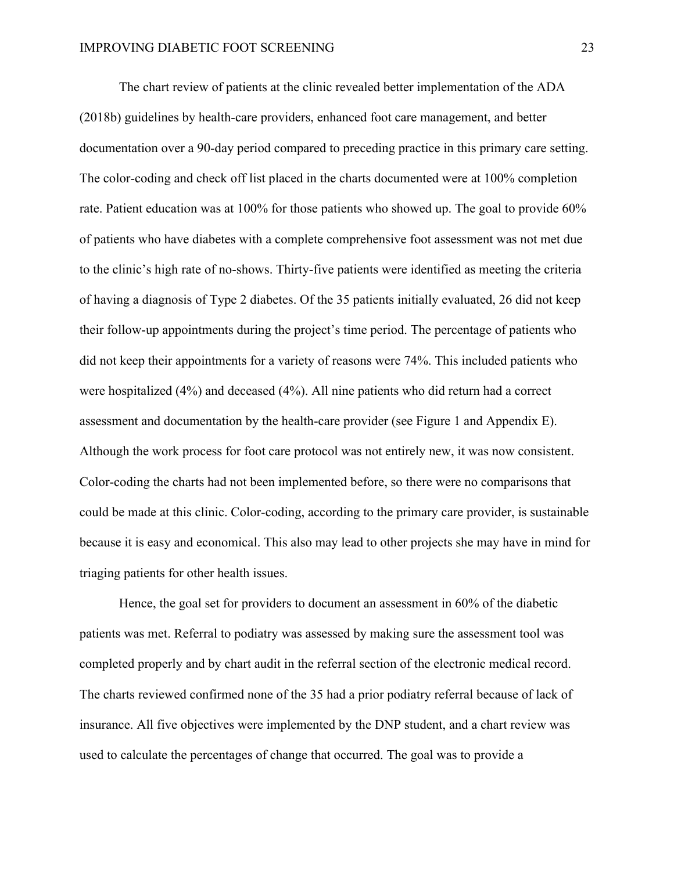The chart review of patients at the clinic revealed better implementation of the ADA (2018b) guidelines by health-care providers, enhanced foot care management, and better documentation over a 90-day period compared to preceding practice in this primary care setting. The color-coding and check off list placed in the charts documented were at 100% completion rate. Patient education was at 100% for those patients who showed up. The goal to provide 60% of patients who have diabetes with a complete comprehensive foot assessment was not met due to the clinic's high rate of no-shows. Thirty-five patients were identified as meeting the criteria of having a diagnosis of Type 2 diabetes. Of the 35 patients initially evaluated, 26 did not keep their follow-up appointments during the project's time period. The percentage of patients who did not keep their appointments for a variety of reasons were 74%. This included patients who were hospitalized (4%) and deceased (4%). All nine patients who did return had a correct assessment and documentation by the health-care provider (see Figure 1 and Appendix E). Although the work process for foot care protocol was not entirely new, it was now consistent. Color-coding the charts had not been implemented before, so there were no comparisons that could be made at this clinic. Color-coding, according to the primary care provider, is sustainable because it is easy and economical. This also may lead to other projects she may have in mind for triaging patients for other health issues.

Hence, the goal set for providers to document an assessment in 60% of the diabetic patients was met. Referral to podiatry was assessed by making sure the assessment tool was completed properly and by chart audit in the referral section of the electronic medical record. The charts reviewed confirmed none of the 35 had a prior podiatry referral because of lack of insurance. All five objectives were implemented by the DNP student, and a chart review was used to calculate the percentages of change that occurred. The goal was to provide a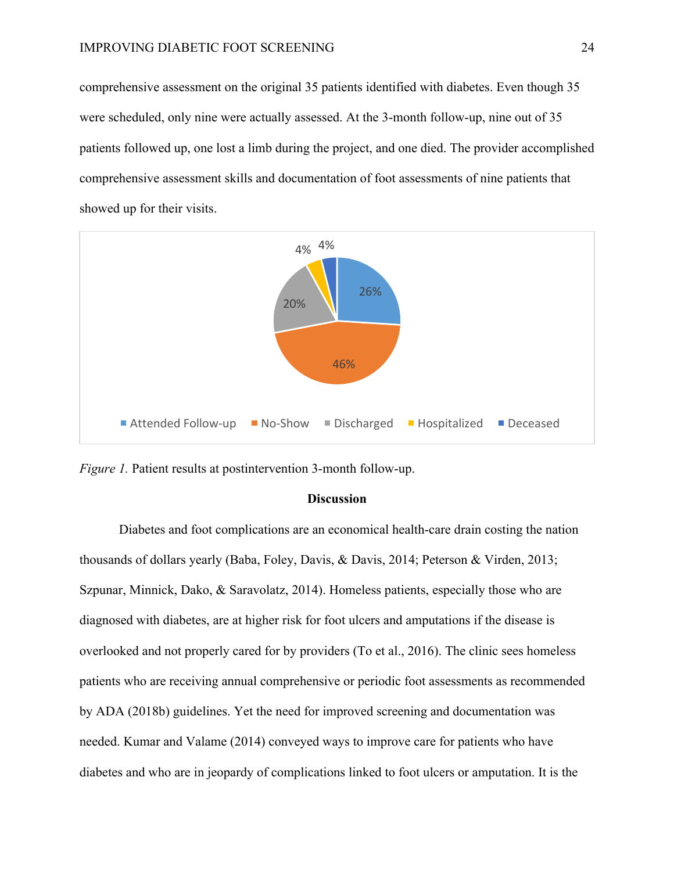comprehensive assessment on the original 35 patients identified with diabetes. Even though 35 were scheduled, only nine were actually assessed. At the 3-month follow-up, nine out of 35 patients followed up, one lost a limb during the project, and one died. The provider accomplished comprehensive assessment skills and documentation of foot assessments of nine patients that showed up for their visits.



*Figure 1.* Patient results at postintervention 3-month follow-up.

#### **Discussion**

Diabetes and foot complications are an economical health-care drain costing the nation thousands of dollars yearly (Baba, Foley, Davis, & Davis, 2014; Peterson & Virden, 2013; Szpunar, Minnick, Dako, & Saravolatz, 2014). Homeless patients, especially those who are diagnosed with diabetes, are at higher risk for foot ulcers and amputations if the disease is overlooked and not properly cared for by providers (To et al., 2016). The clinic sees homeless patients who are receiving annual comprehensive or periodic foot assessments as recommended by ADA (2018b) guidelines. Yet the need for improved screening and documentation was needed. Kumar and Valame (2014) conveyed ways to improve care for patients who have diabetes and who are in jeopardy of complications linked to foot ulcers or amputation. It is the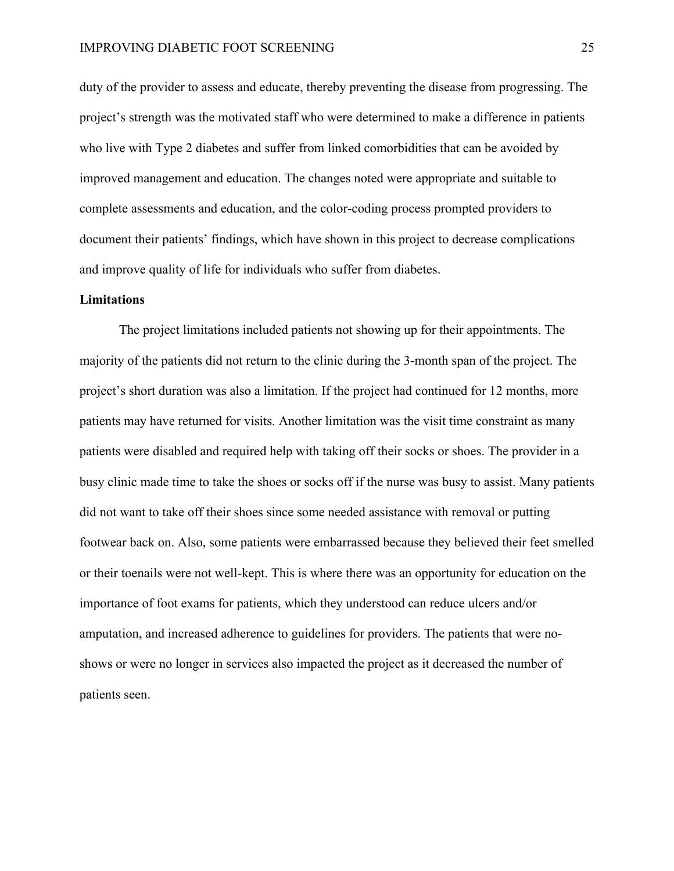duty of the provider to assess and educate, thereby preventing the disease from progressing. The project's strength was the motivated staff who were determined to make a difference in patients who live with Type 2 diabetes and suffer from linked comorbidities that can be avoided by improved management and education. The changes noted were appropriate and suitable to complete assessments and education, and the color-coding process prompted providers to document their patients' findings, which have shown in this project to decrease complications and improve quality of life for individuals who suffer from diabetes.

#### **Limitations**

The project limitations included patients not showing up for their appointments. The majority of the patients did not return to the clinic during the 3-month span of the project. The project's short duration was also a limitation. If the project had continued for 12 months, more patients may have returned for visits. Another limitation was the visit time constraint as many patients were disabled and required help with taking off their socks or shoes. The provider in a busy clinic made time to take the shoes or socks off if the nurse was busy to assist. Many patients did not want to take off their shoes since some needed assistance with removal or putting footwear back on. Also, some patients were embarrassed because they believed their feet smelled or their toenails were not well-kept. This is where there was an opportunity for education on the importance of foot exams for patients, which they understood can reduce ulcers and/or amputation, and increased adherence to guidelines for providers. The patients that were noshows or were no longer in services also impacted the project as it decreased the number of patients seen.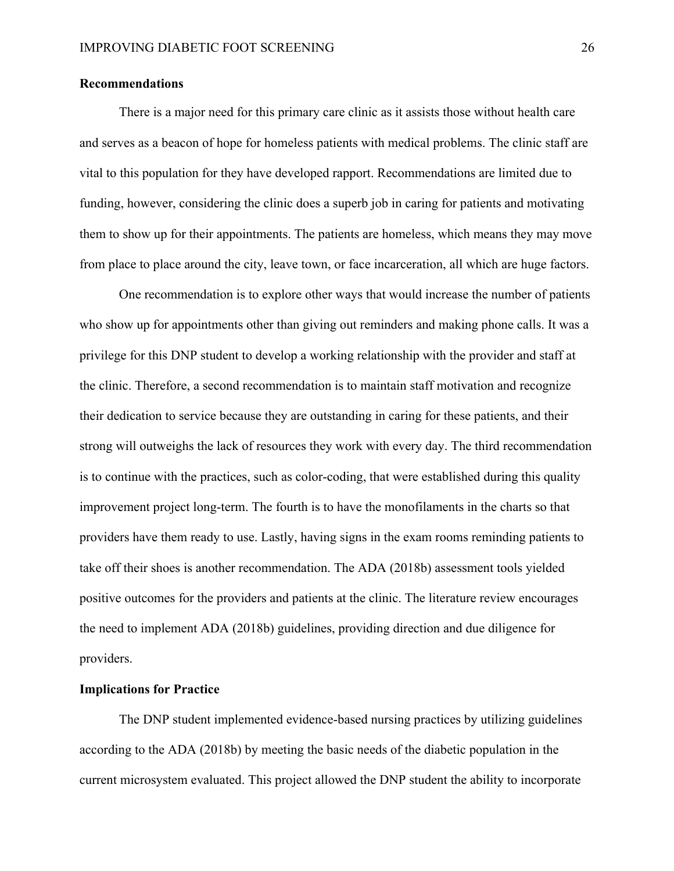#### **Recommendations**

There is a major need for this primary care clinic as it assists those without health care and serves as a beacon of hope for homeless patients with medical problems. The clinic staff are vital to this population for they have developed rapport. Recommendations are limited due to funding, however, considering the clinic does a superb job in caring for patients and motivating them to show up for their appointments. The patients are homeless, which means they may move from place to place around the city, leave town, or face incarceration, all which are huge factors.

One recommendation is to explore other ways that would increase the number of patients who show up for appointments other than giving out reminders and making phone calls. It was a privilege for this DNP student to develop a working relationship with the provider and staff at the clinic. Therefore, a second recommendation is to maintain staff motivation and recognize their dedication to service because they are outstanding in caring for these patients, and their strong will outweighs the lack of resources they work with every day. The third recommendation is to continue with the practices, such as color-coding, that were established during this quality improvement project long-term. The fourth is to have the monofilaments in the charts so that providers have them ready to use. Lastly, having signs in the exam rooms reminding patients to take off their shoes is another recommendation. The ADA (2018b) assessment tools yielded positive outcomes for the providers and patients at the clinic. The literature review encourages the need to implement ADA (2018b) guidelines, providing direction and due diligence for providers.

### **Implications for Practice**

The DNP student implemented evidence-based nursing practices by utilizing guidelines according to the ADA (2018b) by meeting the basic needs of the diabetic population in the current microsystem evaluated. This project allowed the DNP student the ability to incorporate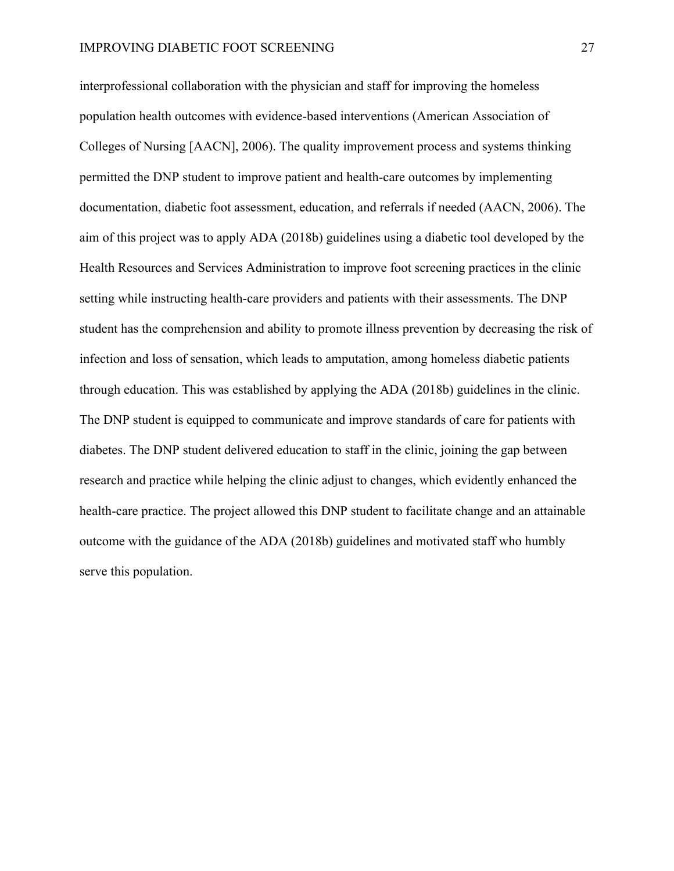interprofessional collaboration with the physician and staff for improving the homeless population health outcomes with evidence-based interventions (American Association of Colleges of Nursing [AACN], 2006). The quality improvement process and systems thinking permitted the DNP student to improve patient and health-care outcomes by implementing documentation, diabetic foot assessment, education, and referrals if needed (AACN, 2006). The aim of this project was to apply ADA (2018b) guidelines using a diabetic tool developed by the Health Resources and Services Administration to improve foot screening practices in the clinic setting while instructing health-care providers and patients with their assessments. The DNP student has the comprehension and ability to promote illness prevention by decreasing the risk of infection and loss of sensation, which leads to amputation, among homeless diabetic patients through education. This was established by applying the ADA (2018b) guidelines in the clinic. The DNP student is equipped to communicate and improve standards of care for patients with diabetes. The DNP student delivered education to staff in the clinic, joining the gap between research and practice while helping the clinic adjust to changes, which evidently enhanced the health-care practice. The project allowed this DNP student to facilitate change and an attainable outcome with the guidance of the ADA (2018b) guidelines and motivated staff who humbly serve this population.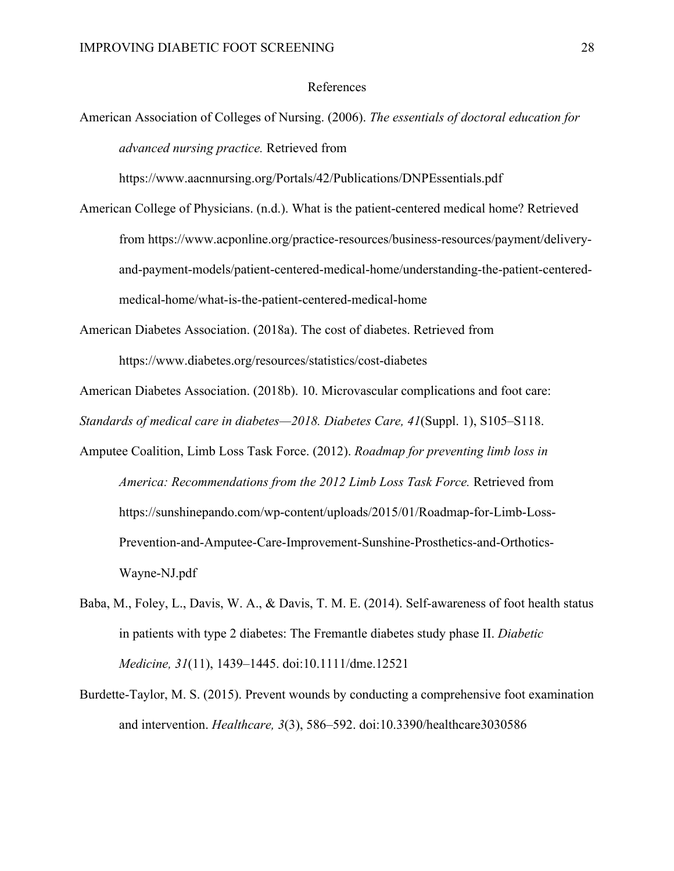#### References

American Association of Colleges of Nursing. (2006). *The essentials of doctoral education for advanced nursing practice.* Retrieved from

https://www.aacnnursing.org/Portals/42/Publications/DNPEssentials.pdf

American College of Physicians. (n.d.). What is the patient-centered medical home? Retrieved from https://www.acponline.org/practice-resources/business-resources/payment/deliveryand-payment-models/patient-centered-medical-home/understanding-the-patient-centeredmedical-home/what-is-the-patient-centered-medical-home

American Diabetes Association. (2018a). The cost of diabetes. Retrieved from https://www.diabetes.org/resources/statistics/cost-diabetes

American Diabetes Association. (2018b). 10. Microvascular complications and foot care: *Standards of medical care in diabetes—2018. Diabetes Care, 41*(Suppl. 1), S105–S118.

- Amputee Coalition, Limb Loss Task Force. (2012). *Roadmap for preventing limb loss in America: Recommendations from the 2012 Limb Loss Task Force.* Retrieved from https://sunshinepando.com/wp-content/uploads/2015/01/Roadmap-for-Limb-Loss-Prevention-and-Amputee-Care-Improvement-Sunshine-Prosthetics-and-Orthotics-Wayne-NJ.pdf
- Baba, M., Foley, L., Davis, W. A., & Davis, T. M. E. (2014). Self-awareness of foot health status in patients with type 2 diabetes: The Fremantle diabetes study phase II. *Diabetic Medicine, 31*(11), 1439–1445. doi:10.1111/dme.12521
- Burdette-Taylor, M. S. (2015). Prevent wounds by conducting a comprehensive foot examination and intervention. *Healthcare, 3*(3), 586–592. doi:10.3390/healthcare3030586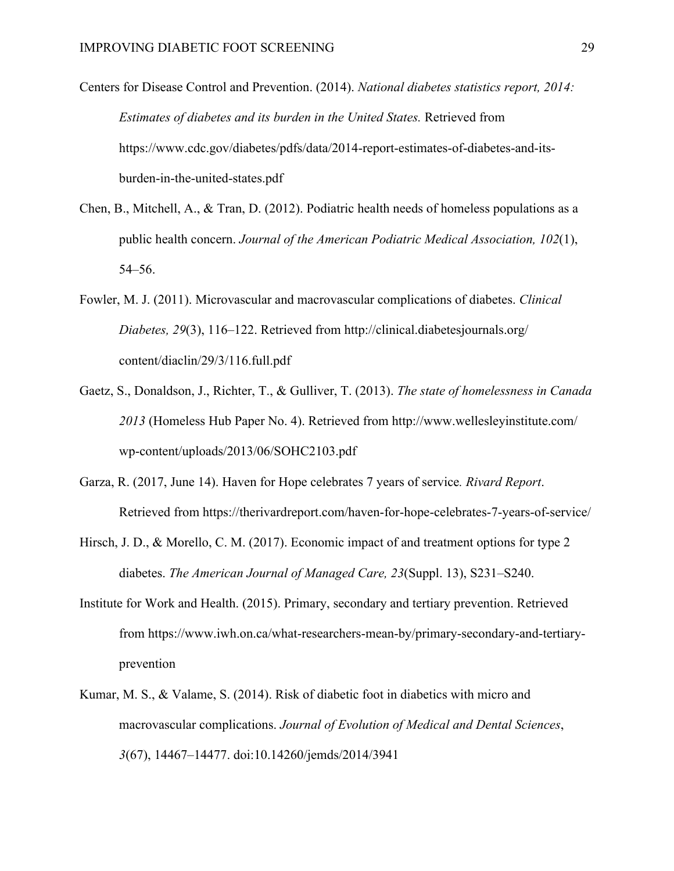Centers for Disease Control and Prevention. (2014). *National diabetes statistics report, 2014: Estimates of diabetes and its burden in the United States.* Retrieved from https://www.cdc.gov/diabetes/pdfs/data/2014-report-estimates-of-diabetes-and-itsburden-in-the-united-states.pdf

- Chen, B., Mitchell, A., & Tran, D. (2012). Podiatric health needs of homeless populations as a public health concern. *Journal of the American Podiatric Medical Association, 102*(1), 54–56.
- Fowler, M. J. (2011). Microvascular and macrovascular complications of diabetes. *Clinical Diabetes, 29*(3), 116–122. Retrieved from http://clinical.diabetesjournals.org/ content/diaclin/29/3/116.full.pdf
- Gaetz, S., Donaldson, J., Richter, T., & Gulliver, T. (2013). *The state of homelessness in Canada 2013* (Homeless Hub Paper No. 4). Retrieved from http://www.wellesleyinstitute.com/ wp-content/uploads/2013/06/SOHC2103.pdf
- Garza, R. (2017, June 14). Haven for Hope celebrates 7 years of service*. Rivard Report*. Retrieved from https://therivardreport.com/haven-for-hope-celebrates-7-years-of-service/
- Hirsch, J. D., & Morello, C. M. (2017). Economic impact of and treatment options for type 2 diabetes. *The American Journal of Managed Care, 23*(Suppl. 13), S231–S240.
- Institute for Work and Health. (2015). Primary, secondary and tertiary prevention. Retrieved from https://www.iwh.on.ca/what-researchers-mean-by/primary-secondary-and-tertiaryprevention
- Kumar, M. S., & Valame, S. (2014). Risk of diabetic foot in diabetics with micro and macrovascular complications. *Journal of Evolution of Medical and Dental Sciences*, *3*(67), 14467–14477. doi:10.14260/jemds/2014/3941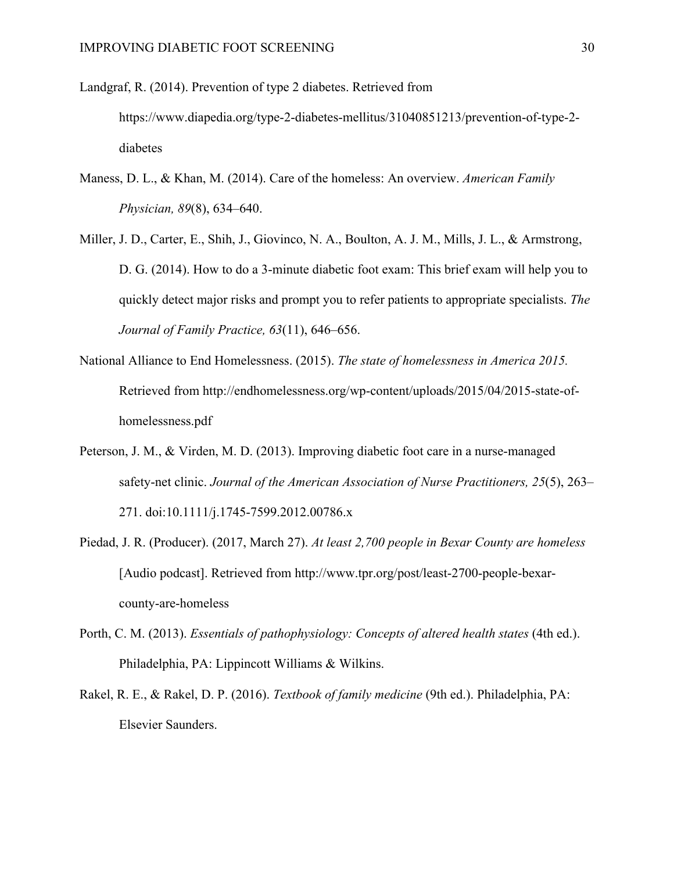Landgraf, R. (2014). Prevention of type 2 diabetes. Retrieved from https://www.diapedia.org/type-2-diabetes-mellitus/31040851213/prevention-of-type-2 diabetes

- Maness, D. L., & Khan, M. (2014). Care of the homeless: An overview. *American Family Physician, 89*(8), 634–640.
- Miller, J. D., Carter, E., Shih, J., Giovinco, N. A., Boulton, A. J. M., Mills, J. L., & Armstrong, D. G. (2014). How to do a 3-minute diabetic foot exam: This brief exam will help you to quickly detect major risks and prompt you to refer patients to appropriate specialists. *The Journal of Family Practice, 63*(11), 646–656.
- National Alliance to End Homelessness. (2015). *The state of homelessness in America 2015.* Retrieved from http://endhomelessness.org/wp-content/uploads/2015/04/2015-state-ofhomelessness.pdf
- Peterson, J. M., & Virden, M. D. (2013). Improving diabetic foot care in a nurse-managed safety-net clinic. *Journal of the American Association of Nurse Practitioners, 25*(5), 263– 271. doi:10.1111/j.1745-7599.2012.00786.x
- Piedad, J. R. (Producer). (2017, March 27). *At least 2,700 people in Bexar County are homeless* [Audio podcast]. Retrieved from http://www.tpr.org/post/least-2700-people-bexarcounty-are-homeless
- Porth, C. M. (2013). *Essentials of pathophysiology: Concepts of altered health states* (4th ed.). Philadelphia, PA: Lippincott Williams & Wilkins.
- Rakel, R. E., & Rakel, D. P. (2016). *Textbook of family medicine* (9th ed.). Philadelphia, PA: Elsevier Saunders.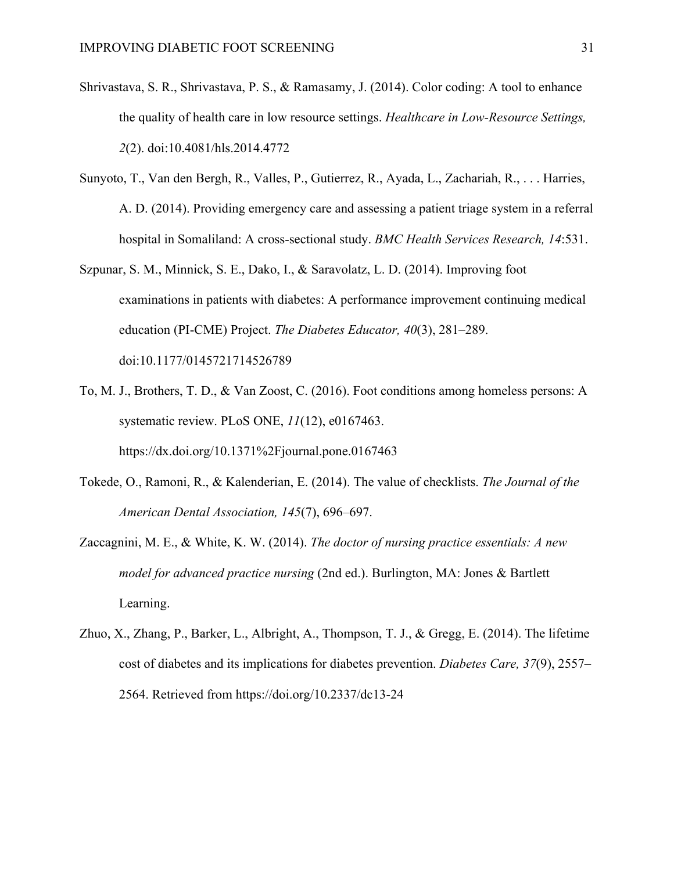- Shrivastava, S. R., Shrivastava, P. S., & Ramasamy, J. (2014). Color coding: A tool to enhance the quality of health care in low resource settings. *Healthcare in Low-Resource Settings, 2*(2). doi:10.4081/hls.2014.4772
- Sunyoto, T., Van den Bergh, R., Valles, P., Gutierrez, R., Ayada, L., Zachariah, R., . . . Harries, A. D. (2014). Providing emergency care and assessing a patient triage system in a referral hospital in Somaliland: A cross-sectional study. *BMC Health Services Research, 14*:531.
- Szpunar, S. M., Minnick, S. E., Dako, I., & Saravolatz, L. D. (2014). Improving foot examinations in patients with diabetes: A performance improvement continuing medical education (PI-CME) Project. *The Diabetes Educator, 40*(3), 281–289. doi:10.1177/0145721714526789
- To, M. J., Brothers, T. D., & Van Zoost, C. (2016). Foot conditions among homeless persons: A systematic review. PLoS ONE, *11*(12), e0167463. https://dx.doi.org/10.1371%2Fjournal.pone.0167463
- Tokede, O., Ramoni, R., & Kalenderian, E. (2014). The value of checklists. *The Journal of the American Dental Association, 145*(7), 696–697.
- Zaccagnini, M. E., & White, K. W. (2014). *The doctor of nursing practice essentials: A new model for advanced practice nursing* (2nd ed.). Burlington, MA: Jones & Bartlett Learning.
- Zhuo, X., Zhang, P., Barker, L., Albright, A., Thompson, T. J., & Gregg, E. (2014). The lifetime cost of diabetes and its implications for diabetes prevention. *Diabetes Care, 37*(9), 2557– 2564. Retrieved from https://doi.org/10.2337/dc13-24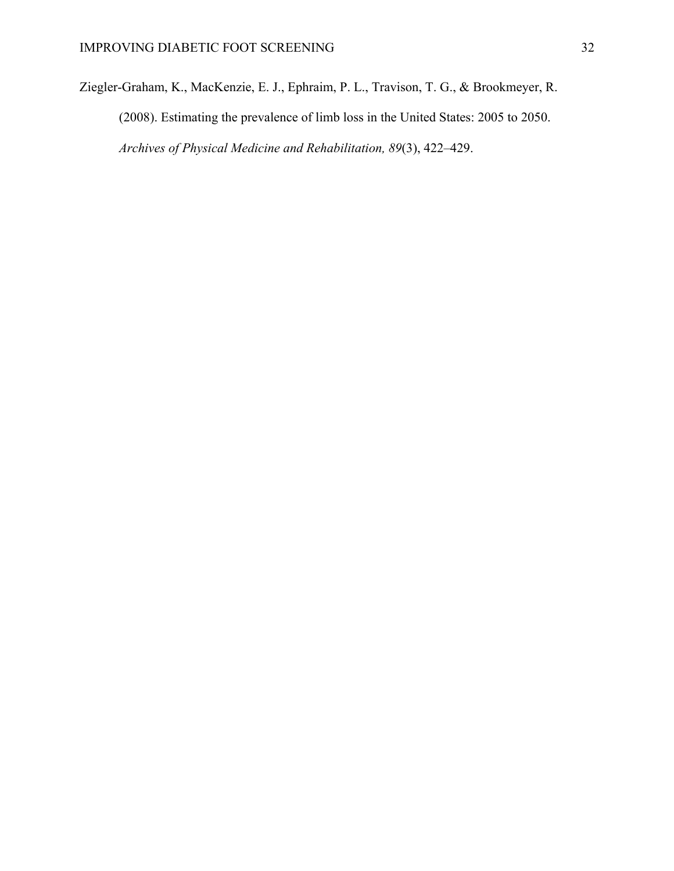Ziegler-Graham, K., MacKenzie, E. J., Ephraim, P. L., Travison, T. G., & Brookmeyer, R. (2008). Estimating the prevalence of limb loss in the United States: 2005 to 2050. *Archives of Physical Medicine and Rehabilitation, 89*(3), 422–429.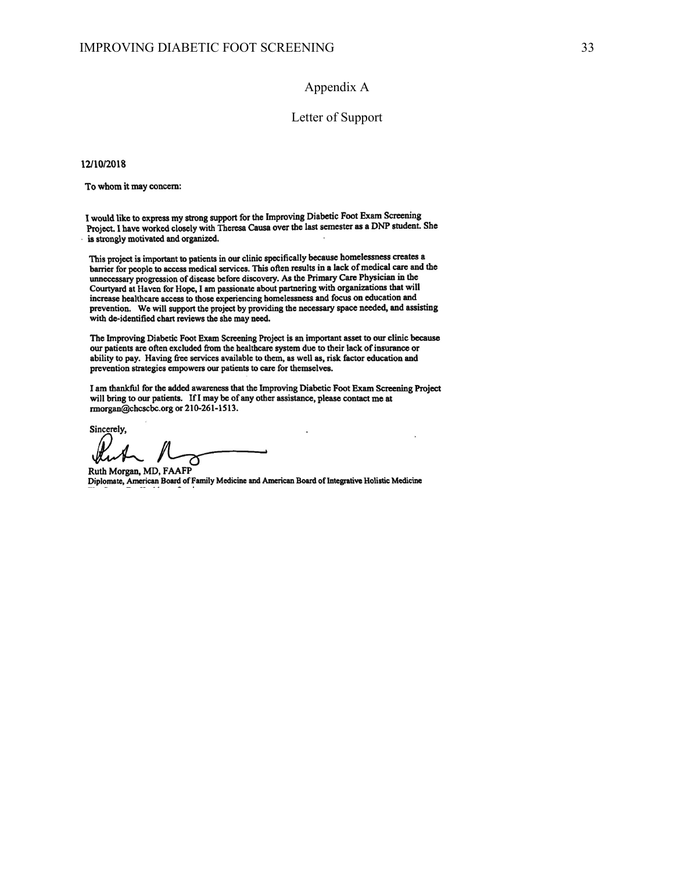#### Appendix A

#### Letter of Support

12/10/2018

To whom it may concern:

I would like to express my strong support for the Improving Diabetic Foot Exam Screening Project. I have worked closely with Theresa Causa over the last semester as a DNP student. She is strongly motivated and organized.

This project is important to patients in our clinic specifically because homelessness creates a barrier for people to access medical services. This often results in a lack of medical care and the unnecessary progression of disease before discovery. As the Primary Care Physician in the Courtyard at Haven for Hope, I am passionate about partnering with organizations that will increase healthcare access to those experiencing homelessness and focus on education and prevention. We will support the project by providing the necessary space needed, and assisting with de-identified chart reviews the she may need.

The Improving Diabetic Foot Exam Screening Project is an important asset to our clinic because our patients are often excluded from the healthcare system due to their lack of insurance or ability to pay. Having free services available to them, as well as, risk factor education and prevention strategies empowers our patients to care for themselves.

I am thankful for the added awareness that the Improving Diabetic Foot Exam Screening Project will bring to our patients. If I may be of any other assistance, please contact me at rmorgan@chcscbc.org or 210-261-1513.

Sincerely,

Ruth Morgan, MD, FAAFP Diplomate, American Board of Family Medicine and American Board of Integrative Holistic Medicine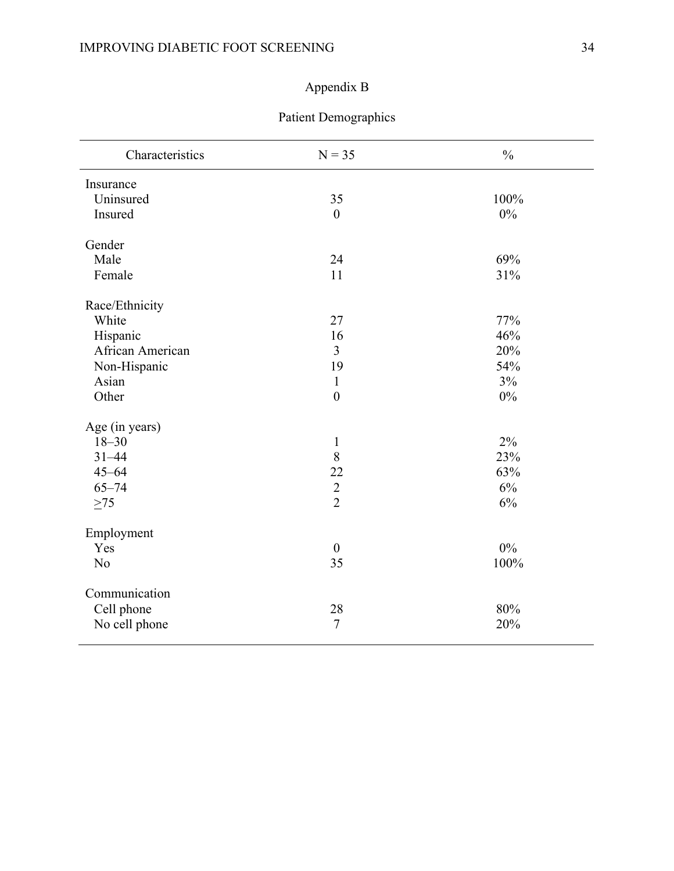# Appendix B

| Characteristics  | $N = 35$         | $\frac{0}{0}$ |
|------------------|------------------|---------------|
| Insurance        |                  |               |
| Uninsured        | 35               | 100%          |
| Insured          | $\boldsymbol{0}$ | 0%            |
| Gender           |                  |               |
| Male             | 24               | 69%           |
| Female           | 11               | 31%           |
| Race/Ethnicity   |                  |               |
| White            | 27               | 77%           |
| Hispanic         | 16               | 46%           |
| African American | $\overline{3}$   | 20%           |
| Non-Hispanic     | 19               | 54%           |
| Asian            | $\mathbf{1}$     | 3%            |
| Other            | $\boldsymbol{0}$ | $0\%$         |
| Age (in years)   |                  |               |
| $18 - 30$        | $\mathbf{1}$     | 2%            |
| $31 - 44$        | 8                | 23%           |
| $45 - 64$        | 22               | 63%           |
| $65 - 74$        | $\frac{2}{2}$    | 6%            |
| $>75$            |                  | 6%            |
| Employment       |                  |               |
| Yes              | $\boldsymbol{0}$ | $0\%$         |
| N <sub>o</sub>   | 35               | 100%          |
| Communication    |                  |               |
| Cell phone       | 28               | 80%           |
| No cell phone    | $\overline{7}$   | 20%           |

# Patient Demographics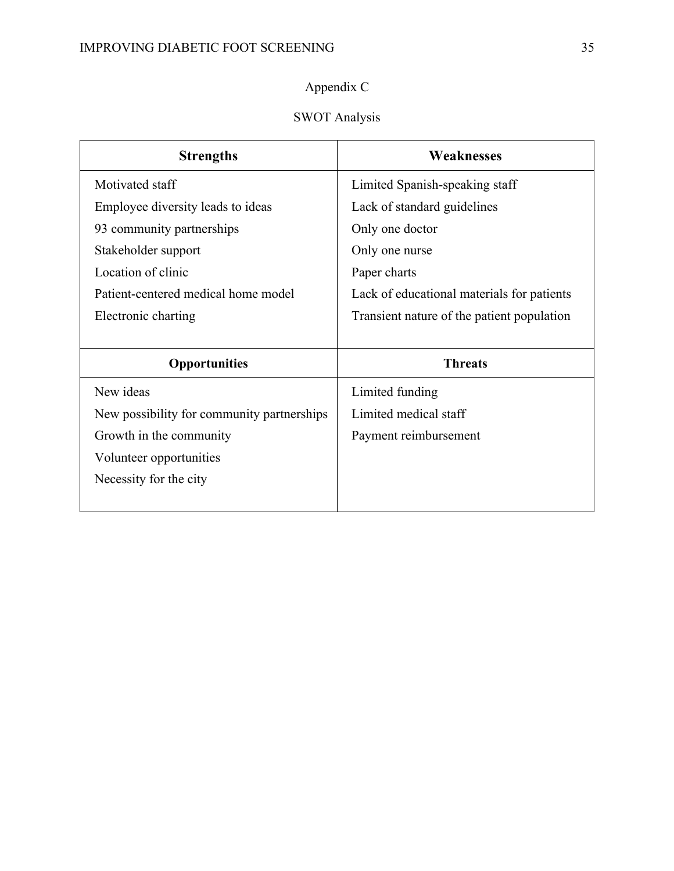# Appendix C

# SWOT Analysis

| <b>Strengths</b>                           | <b>Weaknesses</b>                          |
|--------------------------------------------|--------------------------------------------|
| Motivated staff                            | Limited Spanish-speaking staff             |
| Employee diversity leads to ideas          | Lack of standard guidelines                |
| 93 community partnerships                  | Only one doctor                            |
| Stakeholder support                        | Only one nurse                             |
| Location of clinic                         | Paper charts                               |
| Patient-centered medical home model        | Lack of educational materials for patients |
| Electronic charting                        | Transient nature of the patient population |
|                                            |                                            |
| <b>Opportunities</b>                       | <b>Threats</b>                             |
| New ideas                                  | Limited funding                            |
| New possibility for community partnerships | Limited medical staff                      |
| Growth in the community                    | Payment reimbursement                      |
| Volunteer opportunities                    |                                            |
| Necessity for the city                     |                                            |
|                                            |                                            |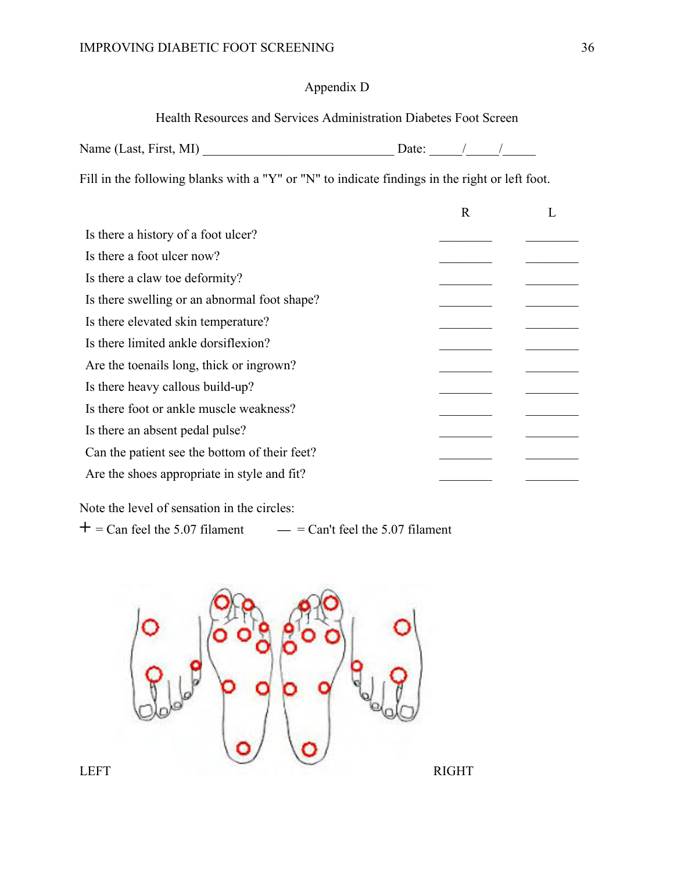## Appendix D

Health Resources and Services Administration Diabetes Foot Screen

| Name (Last, First, MI) |  |
|------------------------|--|
|------------------------|--|

Fill in the following blanks with a "Y" or "N" to indicate findings in the right or left foot.

|                                               | R |  |
|-----------------------------------------------|---|--|
| Is there a history of a foot ulcer?           |   |  |
| Is there a foot ulcer now?                    |   |  |
| Is there a claw toe deformity?                |   |  |
| Is there swelling or an abnormal foot shape?  |   |  |
| Is there elevated skin temperature?           |   |  |
| Is there limited ankle dorsifiexion?          |   |  |
| Are the toenails long, thick or ingrown?      |   |  |
| Is there heavy callous build-up?              |   |  |
| Is there foot or ankle muscle weakness?       |   |  |
| Is there an absent pedal pulse?               |   |  |
| Can the patient see the bottom of their feet? |   |  |
| Are the shoes appropriate in style and fit?   |   |  |
|                                               |   |  |

Note the level of sensation in the circles:

 $+$  = Can feel the 5.07 filament  $-$  = Can't feel the 5.07 filament

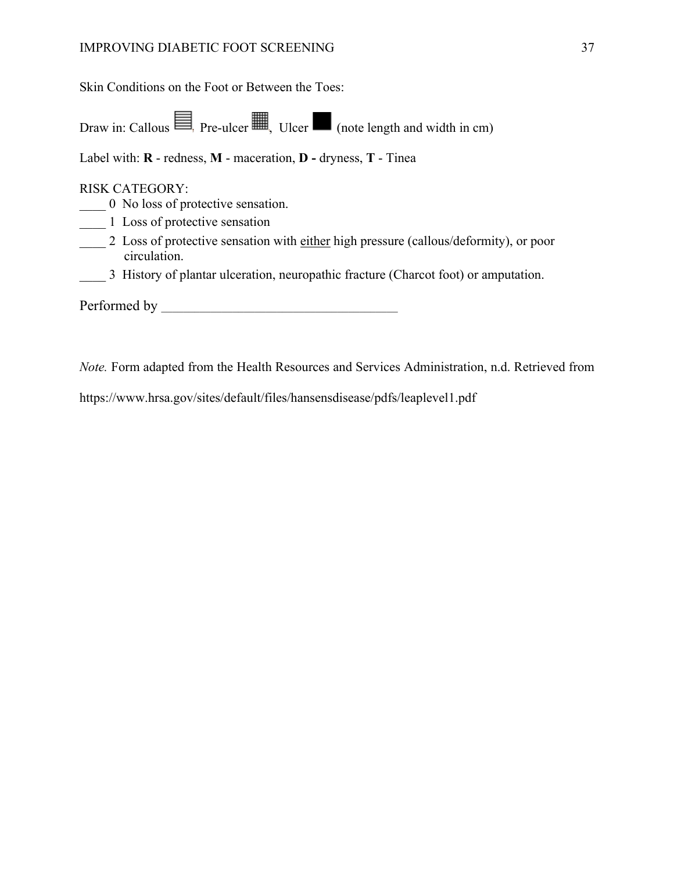### IMPROVING DIABETIC FOOT SCREENING 37

Skin Conditions on the Foot or Between the Toes:

Draw in: Callous  $\equiv$ , Pre-ulcer  $\equiv$ , Ulcer  $\equiv$  (note length and width in cm)

Label with: **R** - redness, **M** - maceration, **D -** dryness, **T** - Tinea

#### RISK CATEGORY:

\_\_\_\_ 0 No loss of protective sensation.

\_\_\_\_ 1 Loss of protective sensation

2 Loss of protective sensation with either high pressure (callous/deformity), or poor circulation.

\_\_\_\_ 3 History of plantar ulceration, neuropathic fracture (Charcot foot) or amputation.

Performed by

*Note.* Form adapted from the Health Resources and Services Administration, n.d. Retrieved from

https://www.hrsa.gov/sites/default/files/hansensdisease/pdfs/leaplevel1.pdf